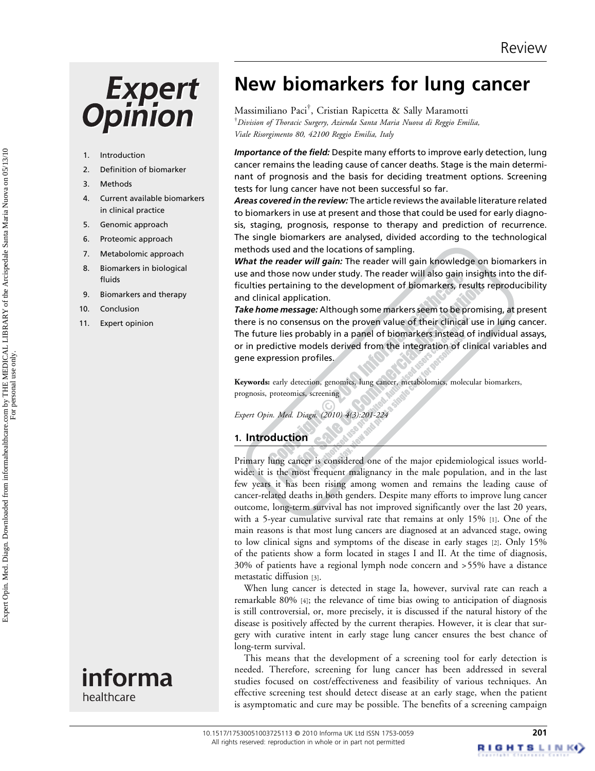## **Expert Opinion**

- 1. Introduction
- 2. Definition of biomarker
- 3. Methods
- 4. Current available biomarkers in clinical practice
- 5. Genomic approach
- 6. Proteomic approach
- 7. Metabolomic approach
- 8. Biomarkers in biological fluids
- 9. Biomarkers and therapy
- 10. Conclusion
- 11. Expert opinion

# informa

healthcare

## New biomarkers for lung cancer

Massimiliano Paci† , Cristian Rapicetta & Sally Maramotti † Division of Thoracic Surgery, Azienda Santa Maria Nuova di Reggio Emilia, Viale Risorgimento 80, 42100 Reggio Emilia, Italy

Importance of the field: Despite many efforts to improve early detection, lung cancer remains the leading cause of cancer deaths. Stage is the main determinant of prognosis and the basis for deciding treatment options. Screening tests for lung cancer have not been successful so far.

Areas covered in the review: The article reviews the available literature related to biomarkers in use at present and those that could be used for early diagnosis, staging, prognosis, response to therapy and prediction of recurrence. The single biomarkers are analysed, divided according to the technological methods used and the locations of sampling.

What the reader will gain: The reader will gain knowledge on biomarkers in use and those now under study. The reader will also gain insights into the difficulties pertaining to the development of biomarkers, results reproducibility and clinical application.

Take home message: Although some markers seem to be promising, at present there is no consensus on the proven value of their clinical use in lung cancer. The future lies probably in a panel of biomarkers instead of individual assays, or in predictive models derived from the integration of clinical variables and gene expression profiles.

Keywords: early detection, genomics, lung cancer, metabolomics, molecular biomarkers, prognosis, proteomics, screening

Expert Opin. Med. Diagn. (2010) 4(3):201-224

## 1. Introduction

Primary lung cancer is considered one of the major epidemiological issues worldwide: it is the most frequent malignancy in the male population, and in the last few years it has been rising among women and remains the leading cause of cancer-related deaths in both genders. Despite many efforts to improve lung cancer outcome, long-term survival has not improved significantly over the last 20 years, with a 5-year cumulative survival rate that remains at only 15% [1]. One of the main reasons is that most lung cancers are diagnosed at an advanced stage, owing to low clinical signs and symptoms of the disease in early stages [2]. Only 15% of the patients show a form located in stages I and II. At the time of diagnosis, 30% of patients have a regional lymph node concern and >55% have a distance metastatic diffusion [3].

When lung cancer is detected in stage Ia, however, survival rate can reach a remarkable 80% [4]; the relevance of time bias owing to anticipation of diagnosis is still controversial, or, more precisely, it is discussed if the natural history of the disease is positively affected by the current therapies. However, it is clear that surgery with curative intent in early stage lung cancer ensures the best chance of long-term survival.

This means that the development of a screening tool for early detection is needed. Therefore, screening for lung cancer has been addressed in several studies focused on cost/effectiveness and feasibility of various techniques. An effective screening test should detect disease at an early stage, when the patient is asymptomatic and cure may be possible. The benefits of a screening campaign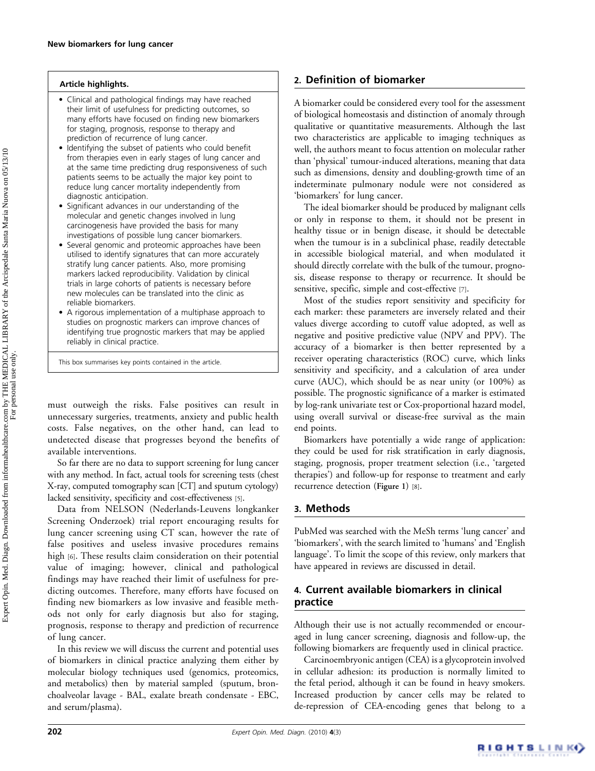## Article highlights.

- Clinical and pathological findings may have reached their limit of usefulness for predicting outcomes, so many efforts have focused on finding new biomarkers for staging, prognosis, response to therapy and prediction of recurrence of lung cancer.
- Identifying the subset of patients who could benefit from therapies even in early stages of lung cancer and at the same time predicting drug responsiveness of such patients seems to be actually the major key point to reduce lung cancer mortality independently from diagnostic anticipation.
- Significant advances in our understanding of the molecular and genetic changes involved in lung carcinogenesis have provided the basis for many investigations of possible lung cancer biomarkers.
- Several genomic and proteomic approaches have been utilised to identify signatures that can more accurately stratify lung cancer patients. Also, more promising markers lacked reproducibility. Validation by clinical trials in large cohorts of patients is necessary before new molecules can be translated into the clinic as reliable biomarkers.
- A rigorous implementation of a multiphase approach to studies on prognostic markers can improve chances of identifying true prognostic markers that may be applied reliably in clinical practice.

This box summarises key points contained in the article.

must outweigh the risks. False positives can result in unnecessary surgeries, treatments, anxiety and public health costs. False negatives, on the other hand, can lead to undetected disease that progresses beyond the benefits of available interventions.

So far there are no data to support screening for lung cancer with any method. In fact, actual tools for screening tests (chest X-ray, computed tomography scan [CT] and sputum cytology) lacked sensitivity, specificity and cost-effectiveness [5].

Data from NELSON (Nederlands-Leuvens longkanker Screening Onderzoek) trial report encouraging results for lung cancer screening using CT scan, however the rate of false positives and useless invasive procedures remains high [6]. These results claim consideration on their potential value of imaging; however, clinical and pathological findings may have reached their limit of usefulness for predicting outcomes. Therefore, many efforts have focused on finding new biomarkers as low invasive and feasible methods not only for early diagnosis but also for staging, prognosis, response to therapy and prediction of recurrence of lung cancer.

In this review we will discuss the current and potential uses of biomarkers in clinical practice analyzing them either by molecular biology techniques used (genomics, proteomics, and metabolics) then by material sampled (sputum, bronchoalveolar lavage - BAL, exalate breath condensate - EBC, and serum/plasma).

## 2. Definition of biomarker

A biomarker could be considered every tool for the assessment of biological homeostasis and distinction of anomaly through qualitative or quantitative measurements. Although the last two characteristics are applicable to imaging techniques as well, the authors meant to focus attention on molecular rather than 'physical' tumour-induced alterations, meaning that data such as dimensions, density and doubling-growth time of an indeterminate pulmonary nodule were not considered as 'biomarkers' for lung cancer.

The ideal biomarker should be produced by malignant cells or only in response to them, it should not be present in healthy tissue or in benign disease, it should be detectable when the tumour is in a subclinical phase, readily detectable in accessible biological material, and when modulated it should directly correlate with the bulk of the tumour, prognosis, disease response to therapy or recurrence. It should be sensitive, specific, simple and cost-effective [7].

Most of the studies report sensitivity and specificity for each marker: these parameters are inversely related and their values diverge according to cutoff value adopted, as well as negative and positive predictive value (NPV and PPV). The accuracy of a biomarker is then better represented by a receiver operating characteristics (ROC) curve, which links sensitivity and specificity, and a calculation of area under curve (AUC), which should be as near unity (or 100%) as possible. The prognostic significance of a marker is estimated by log-rank univariate test or Cox-proportional hazard model, using overall survival or disease-free survival as the main end points.

Biomarkers have potentially a wide range of application: they could be used for risk stratification in early diagnosis, staging, prognosis, proper treatment selection (i.e., 'targeted therapies') and follow-up for response to treatment and early recurrence detection (Figure 1) [8].

## 3. Methods

PubMed was searched with the MeSh terms 'lung cancer' and 'biomarkers', with the search limited to 'humans' and 'English language'. To limit the scope of this review, only markers that have appeared in reviews are discussed in detail.

## 4. Current available biomarkers in clinical practice

Although their use is not actually recommended or encouraged in lung cancer screening, diagnosis and follow-up, the following biomarkers are frequently used in clinical practice.

Carcinoembryonic antigen (CEA) is a glycoprotein involved in cellular adhesion: its production is normally limited to the fetal period, although it can be found in heavy smokers. Increased production by cancer cells may be related to de-repression of CEA-encoding genes that belong to a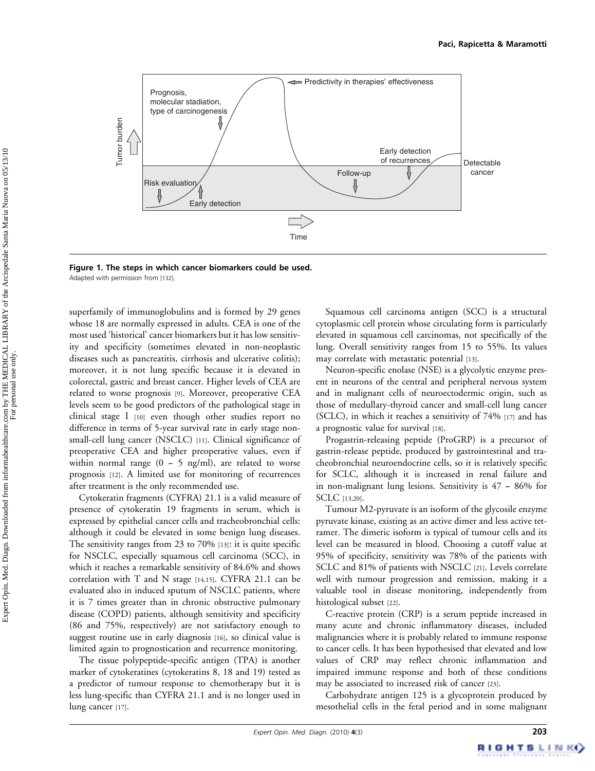

Figure 1. The steps in which cancer biomarkers could be used. Adapted with permission from [132].

superfamily of immunoglobulins and is formed by 29 genes whose 18 are normally expressed in adults. CEA is one of the most used 'historical' cancer biomarkers but it has low sensitivity and specificity (sometimes elevated in non-neoplastic diseases such as pancreatitis, cirrhosis and ulcerative colitis); moreover, it is not lung specific because it is elevated in colorectal, gastric and breast cancer. Higher levels of CEA are related to worse prognosis [9]. Moreover, preoperative CEA levels seem to be good predictors of the pathological stage in clinical stage I [10] even though other studies report no difference in terms of 5-year survival rate in early stage nonsmall-cell lung cancer (NSCLC) [11]. Clinical significance of preoperative CEA and higher preoperative values, even if within normal range  $(0 - 5 \text{ ng/ml})$ , are related to worse prognosis [12]. A limited use for monitoring of recurrences after treatment is the only recommended use.

Cytokeratin fragments (CYFRA) 21.1 is a valid measure of presence of cytokeratin 19 fragments in serum, which is expressed by epithelial cancer cells and tracheobronchial cells: although it could be elevated in some benign lung diseases. The sensitivity ranges from 23 to 70% [13]: it is quite specific for NSCLC, especially squamous cell carcinoma (SCC), in which it reaches a remarkable sensitivity of 84.6% and shows correlation with T and N stage [14,15]. CYFRA 21.1 can be evaluated also in induced sputum of NSCLC patients, where it is 7 times greater than in chronic obstructive pulmonary disease (COPD) patients, although sensitivity and specificity (86 and 75%, respectively) are not satisfactory enough to suggest routine use in early diagnosis [16], so clinical value is limited again to prognostication and recurrence monitoring.

The tissue polypeptide-specific antigen (TPA) is another marker of cytokeratines (cytokeratins 8, 18 and 19) tested as a predictor of tumour response to chemotherapy but it is less lung-specific than CYFRA 21.1 and is no longer used in lung cancer [17].

Squamous cell carcinoma antigen (SCC) is a structural cytoplasmic cell protein whose circulating form is particularly elevated in squamous cell carcinomas, not specifically of the lung. Overall sensitivity ranges from 15 to 55%. Its values may correlate with metastatic potential [13].

Neuron-specific enolase (NSE) is a glycolytic enzyme present in neurons of the central and peripheral nervous system and in malignant cells of neuroectodermic origin, such as those of medullary-thyroid cancer and small-cell lung cancer (SCLC), in which it reaches a sensitivity of 74% [17] and has a prognostic value for survival [18].

Progastrin-releasing peptide (ProGRP) is a precursor of gastrin-release peptide, produced by gastrointestinal and tracheobronchial neuroendocrine cells, so it is relatively specific for SCLC, although it is increased in renal failure and in non-malignant lung lesions. Sensitivity is  $47 - 86\%$  for SCLC [13,20].

Tumour M2-pyruvate is an isoform of the glycosile enzyme pyruvate kinase, existing as an active dimer and less active tetramer. The dimeric isoform is typical of tumour cells and its level can be measured in blood. Choosing a cutoff value at 95% of specificity, sensitivity was 78% of the patients with SCLC and 81% of patients with NSCLC [21]. Levels correlate well with tumour progression and remission, making it a valuable tool in disease monitoring, independently from histological subset [22].

C-reactive protein (CRP) is a serum peptide increased in many acute and chronic inflammatory diseases, included malignancies where it is probably related to immune response to cancer cells. It has been hypothesised that elevated and low values of CRP may reflect chronic inflammation and impaired immune response and both of these conditions may be associated to increased risk of cancer [23].

Carbohydrate antigen 125 is a glycoprotein produced by mesothelial cells in the fetal period and in some malignant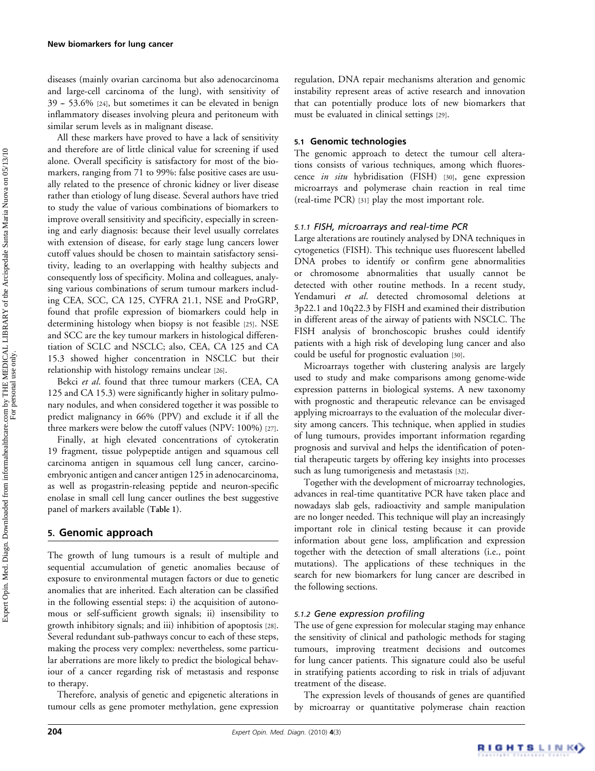diseases (mainly ovarian carcinoma but also adenocarcinoma and large-cell carcinoma of the lung), with sensitivity of 39 -- 53.6% [24], but sometimes it can be elevated in benign inflammatory diseases involving pleura and peritoneum with similar serum levels as in malignant disease.

All these markers have proved to have a lack of sensitivity and therefore are of little clinical value for screening if used alone. Overall specificity is satisfactory for most of the biomarkers, ranging from 71 to 99%: false positive cases are usually related to the presence of chronic kidney or liver disease rather than etiology of lung disease. Several authors have tried to study the value of various combinations of biomarkers to improve overall sensitivity and specificity, especially in screening and early diagnosis: because their level usually correlates with extension of disease, for early stage lung cancers lower cutoff values should be chosen to maintain satisfactory sensitivity, leading to an overlapping with healthy subjects and consequently loss of specificity. Molina and colleagues, analysing various combinations of serum tumour markers including CEA, SCC, CA 125, CYFRA 21.1, NSE and ProGRP, found that profile expression of biomarkers could help in determining histology when biopsy is not feasible [25]. NSE and SCC are the key tumour markers in histological differentiation of SCLC and NSCLC; also, CEA, CA 125 and CA 15.3 showed higher concentration in NSCLC but their relationship with histology remains unclear [26].

Bekci et al. found that three tumour markers (CEA, CA 125 and CA 15.3) were significantly higher in solitary pulmonary nodules, and when considered together it was possible to predict malignancy in 66% (PPV) and exclude it if all the three markers were below the cutoff values (NPV: 100%) [27].

Finally, at high elevated concentrations of cytokeratin 19 fragment, tissue polypeptide antigen and squamous cell carcinoma antigen in squamous cell lung cancer, carcinoembryonic antigen and cancer antigen 125 in adenocarcinoma, as well as progastrin-releasing peptide and neuron-specific enolase in small cell lung cancer outlines the best suggestive panel of markers available (Table 1).

## 5. Genomic approach

The growth of lung tumours is a result of multiple and sequential accumulation of genetic anomalies because of exposure to environmental mutagen factors or due to genetic anomalies that are inherited. Each alteration can be classified in the following essential steps: i) the acquisition of autonomous or self-sufficient growth signals; ii) insensibility to growth inhibitory signals; and iii) inhibition of apoptosis [28]. Several redundant sub-pathways concur to each of these steps, making the process very complex: nevertheless, some particular aberrations are more likely to predict the biological behaviour of a cancer regarding risk of metastasis and response to therapy.

Therefore, analysis of genetic and epigenetic alterations in tumour cells as gene promoter methylation, gene expression

regulation, DNA repair mechanisms alteration and genomic instability represent areas of active research and innovation that can potentially produce lots of new biomarkers that must be evaluated in clinical settings [29].

## 5.1 Genomic technologies

The genomic approach to detect the tumour cell alterations consists of various techniques, among which fluorescence in situ hybridisation (FISH) [30], gene expression microarrays and polymerase chain reaction in real time (real-time PCR) [31] play the most important role.

## 5.1.1 FISH, microarrays and real-time PCR

Large alterations are routinely analysed by DNA techniques in cytogenetics (FISH). This technique uses fluorescent labelled DNA probes to identify or confirm gene abnormalities or chromosome abnormalities that usually cannot be detected with other routine methods. In a recent study, Yendamuri et al. detected chromosomal deletions at 3p22.1 and 10q22.3 by FISH and examined their distribution in different areas of the airway of patients with NSCLC. The FISH analysis of bronchoscopic brushes could identify patients with a high risk of developing lung cancer and also could be useful for prognostic evaluation [30].

Microarrays together with clustering analysis are largely used to study and make comparisons among genome-wide expression patterns in biological systems. A new taxonomy with prognostic and therapeutic relevance can be envisaged applying microarrays to the evaluation of the molecular diversity among cancers. This technique, when applied in studies of lung tumours, provides important information regarding prognosis and survival and helps the identification of potential therapeutic targets by offering key insights into processes such as lung tumorigenesis and metastasis [32].

Together with the development of microarray technologies, advances in real-time quantitative PCR have taken place and nowadays slab gels, radioactivity and sample manipulation are no longer needed. This technique will play an increasingly important role in clinical testing because it can provide information about gene loss, amplification and expression together with the detection of small alterations (i.e., point mutations). The applications of these techniques in the search for new biomarkers for lung cancer are described in the following sections.

## 5.1.2 Gene expression profiling

The use of gene expression for molecular staging may enhance the sensitivity of clinical and pathologic methods for staging tumours, improving treatment decisions and outcomes for lung cancer patients. This signature could also be useful in stratifying patients according to risk in trials of adjuvant treatment of the disease.

The expression levels of thousands of genes are quantified by microarray or quantitative polymerase chain reaction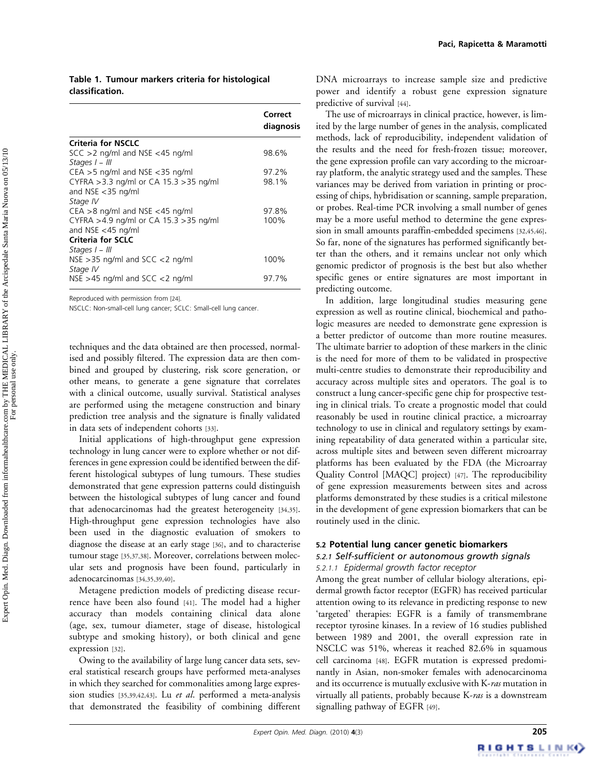|                                                                                        | Correct<br>diagnosis |
|----------------------------------------------------------------------------------------|----------------------|
| Criteria for NSCLC                                                                     |                      |
| $SCC > 2$ ng/ml and NSE <45 ng/ml<br>Stages I - III                                    | 98.6%                |
| $CEA > 5$ ng/ml and NSE $<$ 35 ng/ml                                                   | $97.2\%$             |
| CYFRA > 3.3 ng/ml or CA 15.3 > 35 ng/ml<br>and $NSE < 35$ ng/ml<br>Stage IV            | 98.1%                |
| $CEA > 8$ ng/ml and NSE <45 ng/ml                                                      | 97.8%                |
| CYFRA > 4.9 ng/ml or $CA$ 15.3 > 35 ng/ml<br>and $NSE < 45$ ng/ml<br>Criteria for SCLC | 100%                 |
| Stages I – III                                                                         |                      |
| NSE $>$ 35 ng/ml and SCC $<$ 2 ng/ml<br>Stage IV                                       | 100%                 |
| NSE $>45$ ng/ml and SCC $<$ 2 ng/ml                                                    | 97.7%                |

Reproduced with permission from [24].

NSCLC: Non-small-cell lung cancer; SCLC: Small-cell lung cancer.

techniques and the data obtained are then processed, normalised and possibly filtered. The expression data are then combined and grouped by clustering, risk score generation, or other means, to generate a gene signature that correlates with a clinical outcome, usually survival. Statistical analyses are performed using the metagene construction and binary prediction tree analysis and the signature is finally validated in data sets of independent cohorts [33].

Initial applications of high-throughput gene expression technology in lung cancer were to explore whether or not differences in gene expression could be identified between the different histological subtypes of lung tumours. These studies demonstrated that gene expression patterns could distinguish between the histological subtypes of lung cancer and found that adenocarcinomas had the greatest heterogeneity [34,35]. High-throughput gene expression technologies have also been used in the diagnostic evaluation of smokers to diagnose the disease at an early stage [36], and to characterise tumour stage [35,37,38]. Moreover, correlations between molecular sets and prognosis have been found, particularly in adenocarcinomas [34,35,39,40].

Metagene prediction models of predicting disease recurrence have been also found [41]. The model had a higher accuracy than models containing clinical data alone (age, sex, tumour diameter, stage of disease, histological subtype and smoking history), or both clinical and gene expression [32].

Owing to the availability of large lung cancer data sets, several statistical research groups have performed meta-analyses in which they searched for commonalities among large expression studies [35,39,42,43]. Lu et al. performed a meta-analysis that demonstrated the feasibility of combining different

DNA microarrays to increase sample size and predictive power and identify a robust gene expression signature predictive of survival [44].

The use of microarrays in clinical practice, however, is limited by the large number of genes in the analysis, complicated methods, lack of reproducibility, independent validation of the results and the need for fresh-frozen tissue; moreover, the gene expression profile can vary according to the microarray platform, the analytic strategy used and the samples. These variances may be derived from variation in printing or processing of chips, hybridisation or scanning, sample preparation, or probes. Real-time PCR involving a small number of genes may be a more useful method to determine the gene expression in small amounts paraffin-embedded specimens [32,45,46]. So far, none of the signatures has performed significantly better than the others, and it remains unclear not only which genomic predictor of prognosis is the best but also whether specific genes or entire signatures are most important in predicting outcome.

In addition, large longitudinal studies measuring gene expression as well as routine clinical, biochemical and pathologic measures are needed to demonstrate gene expression is a better predictor of outcome than more routine measures. The ultimate barrier to adoption of these markers in the clinic is the need for more of them to be validated in prospective multi-centre studies to demonstrate their reproducibility and accuracy across multiple sites and operators. The goal is to construct a lung cancer-specific gene chip for prospective testing in clinical trials. To create a prognostic model that could reasonably be used in routine clinical practice, a microarray technology to use in clinical and regulatory settings by examining repeatability of data generated within a particular site, across multiple sites and between seven different microarray platforms has been evaluated by the FDA (the Microarray Quality Control [MAQC] project) [47]. The reproducibility of gene expression measurements between sites and across platforms demonstrated by these studies is a critical milestone in the development of gene expression biomarkers that can be routinely used in the clinic.

## 5.2 Potential lung cancer genetic biomarkers

## 5.2.1 Self-sufficient or autonomous growth signals 5.2.1.1 Epidermal growth factor receptor

Among the great number of cellular biology alterations, epidermal growth factor receptor (EGFR) has received particular attention owing to its relevance in predicting response to new 'targeted' therapies: EGFR is a family of transmembrane receptor tyrosine kinases. In a review of 16 studies published between 1989 and 2001, the overall expression rate in NSCLC was 51%, whereas it reached 82.6% in squamous cell carcinoma [48]. EGFR mutation is expressed predominantly in Asian, non-smoker females with adenocarcinoma and its occurrence is mutually exclusive with K-ras mutation in virtually all patients, probably because K-ras is a downstream signalling pathway of EGFR [49].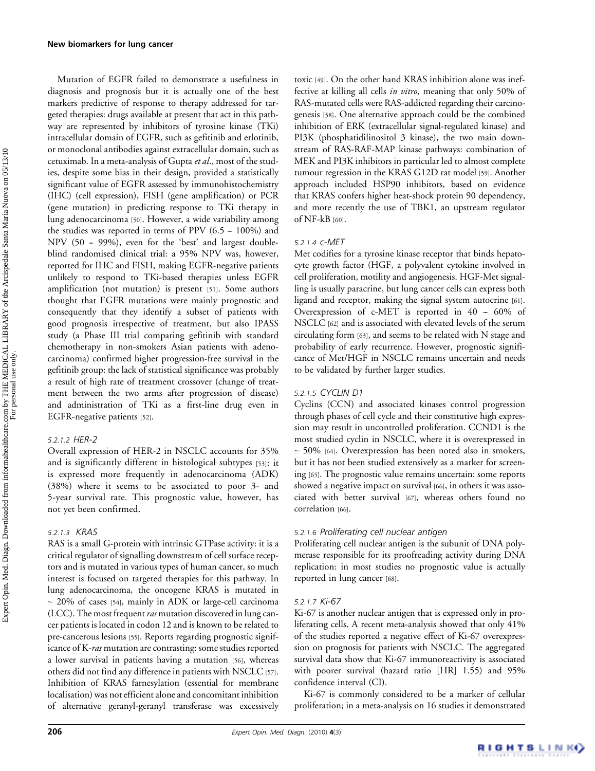Mutation of EGFR failed to demonstrate a usefulness in diagnosis and prognosis but it is actually one of the best markers predictive of response to therapy addressed for targeted therapies: drugs available at present that act in this pathway are represented by inhibitors of tyrosine kinase (TKi) intracellular domain of EGFR, such as gefitinib and erlotinib, or monoclonal antibodies against extracellular domain, such as cetuximab. In a meta-analysis of Gupta et al., most of the studies, despite some bias in their design, provided a statistically significant value of EGFR assessed by immunohistochemistry (IHC) (cell expression), FISH (gene amplification) or PCR (gene mutation) in predicting response to TKi therapy in lung adenocarcinoma [50]. However, a wide variability among the studies was reported in terms of PPV  $(6.5 - 100\%)$  and NPV (50 - 99%), even for the 'best' and largest doubleblind randomised clinical trial: a 95% NPV was, however, reported for IHC and FISH, making EGFR-negative patients unlikely to respond to TKi-based therapies unless EGFR amplification (not mutation) is present [51]. Some authors thought that EGFR mutations were mainly prognostic and consequently that they identify a subset of patients with good prognosis irrespective of treatment, but also IPASS study (a Phase III trial comparing gefitinib with standard chemotherapy in non-smokers Asian patients with adenocarcinoma) confirmed higher progression-free survival in the gefitinib group: the lack of statistical significance was probably a result of high rate of treatment crossover (change of treatment between the two arms after progression of disease) and administration of TKi as a first-line drug even in EGFR-negative patients [52].

## 5.2.1.2 HER-2

Overall expression of HER-2 in NSCLC accounts for 35% and is significantly different in histological subtypes [53]: it is expressed more frequently in adenocarcinoma (ADK) (38%) where it seems to be associated to poor 3- and 5-year survival rate. This prognostic value, however, has not yet been confirmed.

## 5.2.1.3 KRAS

RAS is a small G-protein with intrinsic GTPase activity: it is a critical regulator of signalling downstream of cell surface receptors and is mutated in various types of human cancer, so much interest is focused on targeted therapies for this pathway. In lung adenocarcinoma, the oncogene KRAS is mutated in  $\sim$  20% of cases [54], mainly in ADK or large-cell carcinoma (LCC). The most frequent ras mutation discovered in lung cancer patients is located in codon 12 and is known to be related to pre-cancerous lesions [55]. Reports regarding prognostic significance of K-ras mutation are contrasting: some studies reported a lower survival in patients having a mutation [56], whereas others did not find any difference in patients with NSCLC [57]. Inhibition of KRAS farnesylation (essential for membrane localisation) was not efficient alone and concomitant inhibition of alternative geranyl-geranyl transferase was excessively

toxic [49]. On the other hand KRAS inhibition alone was ineffective at killing all cells in vitro, meaning that only 50% of RAS-mutated cells were RAS-addicted regarding their carcinogenesis [58]. One alternative approach could be the combined inhibition of ERK (extracellular signal-regulated kinase) and PI3K (phosphatidilinositol 3 kinase), the two main downstream of RAS-RAF-MAP kinase pathways: combination of MEK and PI3K inhibitors in particular led to almost complete tumour regression in the KRAS G12D rat model [59]. Another approach included HSP90 inhibitors, based on evidence that KRAS confers higher heat-shock protein 90 dependency, and more recently the use of TBK1, an upstream regulator of NF-kB [60].

### 5.2.1.4 c-MET

Met codifies for a tyrosine kinase receptor that binds hepatocyte growth factor (HGF, a polyvalent cytokine involved in cell proliferation, motility and angiogenesis. HGF-Met signalling is usually paracrine, but lung cancer cells can express both ligand and receptor, making the signal system autocrine [61]. Overexpression of c-MET is reported in  $40 - 60\%$  of NSCLC [62] and is associated with elevated levels of the serum circulating form [63], and seems to be related with N stage and probability of early recurrence. However, prognostic significance of Met/HGF in NSCLC remains uncertain and needs to be validated by further larger studies.

## 5.2.1.5 CYCLIN D1

Cyclins (CCN) and associated kinases control progression through phases of cell cycle and their constitutive high expression may result in uncontrolled proliferation. CCND1 is the most studied cyclin in NSCLC, where it is overexpressed in  $\sim$  50% [64]. Overexpression has been noted also in smokers, but it has not been studied extensively as a marker for screening [65]. The prognostic value remains uncertain: some reports showed a negative impact on survival [66], in others it was associated with better survival [67], whereas others found no correlation [66].

## 5.2.1.6 Proliferating cell nuclear antigen

Proliferating cell nuclear antigen is the subunit of DNA polymerase responsible for its proofreading activity during DNA replication: in most studies no prognostic value is actually reported in lung cancer [68].

#### 5.2.1.7 Ki-67

Ki-67 is another nuclear antigen that is expressed only in proliferating cells. A recent meta-analysis showed that only 41% of the studies reported a negative effect of Ki-67 overexpression on prognosis for patients with NSCLC. The aggregated survival data show that Ki-67 immunoreactivity is associated with poorer survival (hazard ratio [HR] 1.55) and 95% confidence interval (CI).

Ki-67 is commonly considered to be a marker of cellular proliferation; in a meta-analysis on 16 studies it demonstrated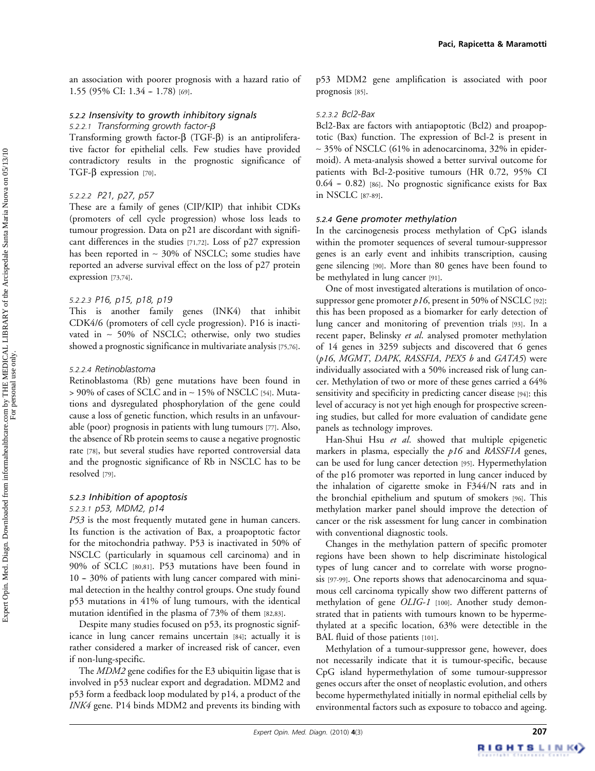an association with poorer prognosis with a hazard ratio of 1.55 (95% CI: 1.34 - 1.78) [69].

## 5.2.2 Insensivity to growth inhibitory signals 5.2.2.1 Transforming growth factor- $\beta$

Transforming growth factor- $\beta$  (TGF- $\beta$ ) is an antiproliferative factor for epithelial cells. Few studies have provided contradictory results in the prognostic significance of TGF- $\beta$  expression [70].

## 5.2.2.2 P21, p27, p57

These are a family of genes (CIP/KIP) that inhibit CDKs (promoters of cell cycle progression) whose loss leads to tumour progression. Data on p21 are discordant with significant differences in the studies [71,72]. Loss of p27 expression has been reported in  $\sim$  30% of NSCLC; some studies have reported an adverse survival effect on the loss of p27 protein expression [73,74].

## 5.2.2.3 P16, p15, p18, p19

This is another family genes (INK4) that inhibit CDK4/6 (promoters of cell cycle progression). P16 is inactivated in  $\sim$  50% of NSCLC; otherwise, only two studies showed a prognostic significance in multivariate analysis [75,76].

## 5.2.2.4 Retinoblastoma

Retinoblastoma (Rb) gene mutations have been found in  $> 90\%$  of cases of SCLC and in  $\sim 15\%$  of NSCLC [54]. Mutations and dysregulated phosphorylation of the gene could cause a loss of genetic function, which results in an unfavourable (poor) prognosis in patients with lung tumours [77]. Also, the absence of Rb protein seems to cause a negative prognostic rate [78], but several studies have reported controversial data and the prognostic significance of Rb in NSCLC has to be resolved [79].

## 5.2.3 Inhibition of apoptosis

## 5.2.3.1 p53, MDM2, p14

P53 is the most frequently mutated gene in human cancers. Its function is the activation of Bax, a proapoptotic factor for the mitochondria pathway. P53 is inactivated in 50% of NSCLC (particularly in squamous cell carcinoma) and in 90% of SCLC [80,81]. P53 mutations have been found in 10 - 30% of patients with lung cancer compared with minimal detection in the healthy control groups. One study found p53 mutations in 41% of lung tumours, with the identical mutation identified in the plasma of 73% of them [82,83].

Despite many studies focused on p53, its prognostic significance in lung cancer remains uncertain [84]; actually it is rather considered a marker of increased risk of cancer, even if non-lung-specific.

The MDM2 gene codifies for the E3 ubiquitin ligase that is involved in p53 nuclear export and degradation. MDM2 and p53 form a feedback loop modulated by p14, a product of the INK4 gene. P14 binds MDM2 and prevents its binding with

p53 MDM2 gene amplification is associated with poor prognosis [85].

## 5.2.3.2 Bcl2-Bax

Bcl2-Bax are factors with antiapoptotic (Bcl2) and proapoptotic (Bax) function. The expression of Bcl-2 is present in  $\sim$  35% of NSCLC (61% in adenocarcinoma, 32% in epidermoid). A meta-analysis showed a better survival outcome for patients with Bcl-2-positive tumours (HR 0.72, 95% CI  $0.64 - 0.82$ ) [86]. No prognostic significance exists for Bax in NSCLC [87-89].

## 5.2.4 Gene promoter methylation

In the carcinogenesis process methylation of CpG islands within the promoter sequences of several tumour-suppressor genes is an early event and inhibits transcription, causing gene silencing [90]. More than 80 genes have been found to be methylated in lung cancer [91].

One of most investigated alterations is mutilation of oncosuppressor gene promoter  $p16$ , present in 50% of NSCLC [92]: this has been proposed as a biomarker for early detection of lung cancer and monitoring of prevention trials [93]. In a recent paper, Belinsky et al. analysed promoter methylation of 14 genes in 3259 subjects and discovered that 6 genes  $(p16, MGMT, DAPK, RASSFIA, PEX5 b and GATA5)$  were individually associated with a 50% increased risk of lung cancer. Methylation of two or more of these genes carried a 64% sensitivity and specificity in predicting cancer disease [94]: this level of accuracy is not yet high enough for prospective screening studies, but called for more evaluation of candidate gene panels as technology improves.

Han-Shui Hsu et al. showed that multiple epigenetic markers in plasma, especially the  $p16$  and RASSF1A genes, can be used for lung cancer detection [95]. Hypermethylation of the p16 promoter was reported in lung cancer induced by the inhalation of cigarette smoke in F344/N rats and in the bronchial epithelium and sputum of smokers [96]. This methylation marker panel should improve the detection of cancer or the risk assessment for lung cancer in combination with conventional diagnostic tools.

Changes in the methylation pattern of specific promoter regions have been shown to help discriminate histological types of lung cancer and to correlate with worse prognosis [97-99]. One reports shows that adenocarcinoma and squamous cell carcinoma typically show two different patterns of methylation of gene OLIG-1 [100]. Another study demonstrated that in patients with tumours known to be hypermethylated at a specific location, 63% were detectible in the BAL fluid of those patients [101].

Methylation of a tumour-suppressor gene, however, does not necessarily indicate that it is tumour-specific, because CpG island hypermethylation of some tumour-suppressor genes occurs after the onset of neoplastic evolution, and others become hypermethylated initially in normal epithelial cells by environmental factors such as exposure to tobacco and ageing.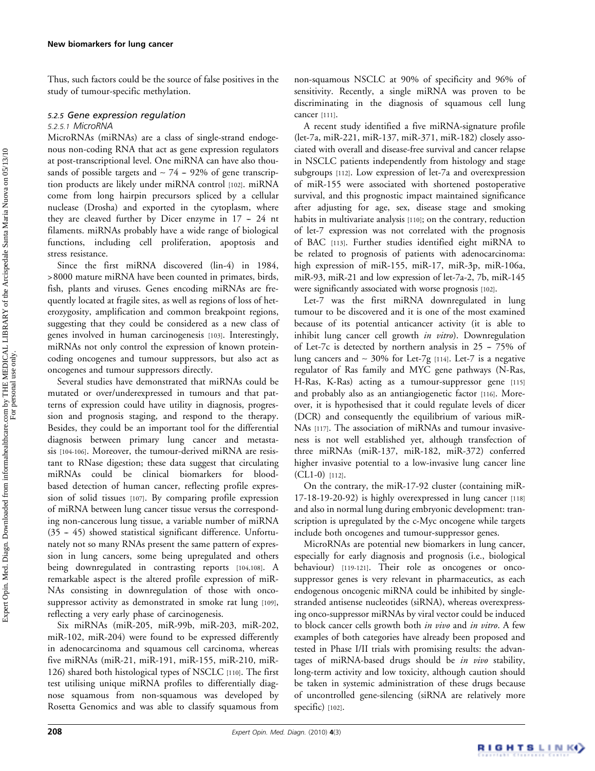Thus, such factors could be the source of false positives in the study of tumour-specific methylation.

## 5.2.5 Gene expression regulation

## 5.2.5.1 MicroRNA

MicroRNAs (miRNAs) are a class of single-strand endogenous non-coding RNA that act as gene expression regulators at post-transcriptional level. One miRNA can have also thousands of possible targets and  $\sim$  74 - 92% of gene transcription products are likely under miRNA control [102]. miRNA come from long hairpin precursors spliced by a cellular nuclease (Drosha) and exported in the cytoplasm, where they are cleaved further by Dicer enzyme in  $17 - 24$  nt filaments. miRNAs probably have a wide range of biological functions, including cell proliferation, apoptosis and stress resistance.

Since the first miRNA discovered (lin-4) in 1984, >8000 mature miRNA have been counted in primates, birds, fish, plants and viruses. Genes encoding miRNAs are frequently located at fragile sites, as well as regions of loss of heterozygosity, amplification and common breakpoint regions, suggesting that they could be considered as a new class of genes involved in human carcinogenesis [103]. Interestingly, miRNAs not only control the expression of known proteincoding oncogenes and tumour suppressors, but also act as oncogenes and tumour suppressors directly.

Several studies have demonstrated that miRNAs could be mutated or over/underexpressed in tumours and that patterns of expression could have utility in diagnosis, progression and prognosis staging, and respond to the therapy. Besides, they could be an important tool for the differential diagnosis between primary lung cancer and metastasis [104-106]. Moreover, the tumour-derived miRNA are resistant to RNase digestion; these data suggest that circulating miRNAs could be clinical biomarkers for bloodbased detection of human cancer, reflecting profile expression of solid tissues [107]. By comparing profile expression of miRNA between lung cancer tissue versus the corresponding non-cancerous lung tissue, a variable number of miRNA  $(35 - 45)$  showed statistical significant difference. Unfortunately not so many RNAs present the same pattern of expression in lung cancers, some being upregulated and others being downregulated in contrasting reports [104,108]. A remarkable aspect is the altered profile expression of miR-NAs consisting in downregulation of those with oncosuppressor activity as demonstrated in smoke rat lung [109], reflecting a very early phase of carcinogenesis.

Six miRNAs (miR-205, miR-99b, miR-203, miR-202, miR-102, miR-204) were found to be expressed differently in adenocarcinoma and squamous cell carcinoma, whereas five miRNAs (miR-21, miR-191, miR-155, miR-210, miR-126) shared both histological types of NSCLC [110]. The first test utilising unique miRNA profiles to differentially diagnose squamous from non-squamous was developed by Rosetta Genomics and was able to classify squamous from non-squamous NSCLC at 90% of specificity and 96% of sensitivity. Recently, a single miRNA was proven to be discriminating in the diagnosis of squamous cell lung cancer [111].

A recent study identified a five miRNA-signature profile (let-7a, miR-221, miR-137, miR-371, miR-182) closely associated with overall and disease-free survival and cancer relapse in NSCLC patients independently from histology and stage subgroups [112]. Low expression of let-7a and overexpression of miR-155 were associated with shortened postoperative survival, and this prognostic impact maintained significance after adjusting for age, sex, disease stage and smoking habits in multivariate analysis [110]; on the contrary, reduction of let-7 expression was not correlated with the prognosis of BAC [113]. Further studies identified eight miRNA to be related to prognosis of patients with adenocarcinoma: high expression of miR-155, miR-17, miR-3p, miR-106a, miR-93, miR-21 and low expression of let-7a-2, 7b, miR-145 were significantly associated with worse prognosis [102].

Let-7 was the first miRNA downregulated in lung tumour to be discovered and it is one of the most examined because of its potential anticancer activity (it is able to inhibit lung cancer cell growth in vitro). Downregulation of Let-7c is detected by northern analysis in  $25 - 75%$  of lung cancers and  $\sim$  30% for Let-7g [114]. Let-7 is a negative regulator of Ras family and MYC gene pathways (N-Ras, H-Ras, K-Ras) acting as a tumour-suppressor gene [115] and probably also as an antiangiogenetic factor [116]. Moreover, it is hypothesised that it could regulate levels of dicer (DCR) and consequently the equilibrium of various miR-NAs [117]. The association of miRNAs and tumour invasiveness is not well established yet, although transfection of three miRNAs (miR-137, miR-182, miR-372) conferred higher invasive potential to a low-invasive lung cancer line (CL1-0) [112].

On the contrary, the miR-17-92 cluster (containing miR-17-18-19-20-92) is highly overexpressed in lung cancer [118] and also in normal lung during embryonic development: transcription is upregulated by the c-Myc oncogene while targets include both oncogenes and tumour-suppressor genes.

MicroRNAs are potential new biomarkers in lung cancer, especially for early diagnosis and prognosis (i.e., biological behaviour) [119-121]. Their role as oncogenes or oncosuppressor genes is very relevant in pharmaceutics, as each endogenous oncogenic miRNA could be inhibited by singlestranded antisense nucleotides (siRNA), whereas overexpressing onco-suppressor miRNAs by viral vector could be induced to block cancer cells growth both in vivo and in vitro. A few examples of both categories have already been proposed and tested in Phase I/II trials with promising results: the advantages of miRNA-based drugs should be in vivo stability, long-term activity and low toxicity, although caution should be taken in systemic administration of these drugs because of uncontrolled gene-silencing (siRNA are relatively more specific) [102].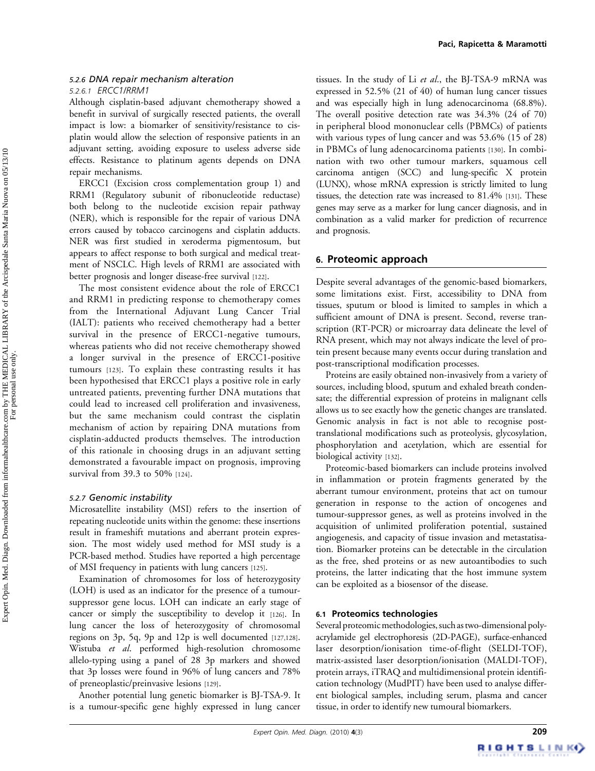## 5.2.6.1 ERCC1/RRM1

Although cisplatin-based adjuvant chemotherapy showed a benefit in survival of surgically resected patients, the overall impact is low: a biomarker of sensitivity/resistance to cisplatin would allow the selection of responsive patients in an adjuvant setting, avoiding exposure to useless adverse side effects. Resistance to platinum agents depends on DNA repair mechanisms.

ERCC1 (Excision cross complementation group 1) and RRM1 (Regulatory subunit of ribonucleotide reductase) both belong to the nucleotide excision repair pathway (NER), which is responsible for the repair of various DNA errors caused by tobacco carcinogens and cisplatin adducts. NER was first studied in xeroderma pigmentosum, but appears to affect response to both surgical and medical treatment of NSCLC. High levels of RRM1 are associated with better prognosis and longer disease-free survival [122].

The most consistent evidence about the role of ERCC1 and RRM1 in predicting response to chemotherapy comes from the International Adjuvant Lung Cancer Trial (IALT): patients who received chemotherapy had a better survival in the presence of ERCC1-negative tumours, whereas patients who did not receive chemotherapy showed a longer survival in the presence of ERCC1-positive tumours [123]. To explain these contrasting results it has been hypothesised that ERCC1 plays a positive role in early untreated patients, preventing further DNA mutations that could lead to increased cell proliferation and invasiveness, but the same mechanism could contrast the cisplatin mechanism of action by repairing DNA mutations from cisplatin-adducted products themselves. The introduction of this rationale in choosing drugs in an adjuvant setting demonstrated a favourable impact on prognosis, improving survival from 39.3 to 50% [124].

## 5.2.7 Genomic instability

Microsatellite instability (MSI) refers to the insertion of repeating nucleotide units within the genome: these insertions result in frameshift mutations and aberrant protein expression. The most widely used method for MSI study is a PCR-based method. Studies have reported a high percentage of MSI frequency in patients with lung cancers [125].

Examination of chromosomes for loss of heterozygosity (LOH) is used as an indicator for the presence of a tumoursuppressor gene locus. LOH can indicate an early stage of cancer or simply the susceptibility to develop it [126]. In lung cancer the loss of heterozygosity of chromosomal regions on 3p, 5q, 9p and 12p is well documented [127,128]. Wistuba et al. performed high-resolution chromosome allelo-typing using a panel of 28 3p markers and showed that 3p losses were found in 96% of lung cancers and 78% of preneoplastic/preinvasive lesions [129].

Another potential lung genetic biomarker is BJ-TSA-9. It is a tumour-specific gene highly expressed in lung cancer

tissues. In the study of Li et al., the BJ-TSA-9 mRNA was expressed in 52.5% (21 of 40) of human lung cancer tissues and was especially high in lung adenocarcinoma (68.8%). The overall positive detection rate was 34.3% (24 of 70) in peripheral blood mononuclear cells (PBMCs) of patients with various types of lung cancer and was 53.6% (15 of 28) in PBMCs of lung adenocarcinoma patients [130]. In combination with two other tumour markers, squamous cell carcinoma antigen (SCC) and lung-specific X protein (LUNX), whose mRNA expression is strictly limited to lung tissues, the detection rate was increased to 81.4% [131]. These genes may serve as a marker for lung cancer diagnosis, and in combination as a valid marker for prediction of recurrence and prognosis.

## 6. Proteomic approach

Despite several advantages of the genomic-based biomarkers, some limitations exist. First, accessibility to DNA from tissues, sputum or blood is limited to samples in which a sufficient amount of DNA is present. Second, reverse transcription (RT-PCR) or microarray data delineate the level of RNA present, which may not always indicate the level of protein present because many events occur during translation and post-transcriptional modification processes.

Proteins are easily obtained non-invasively from a variety of sources, including blood, sputum and exhaled breath condensate; the differential expression of proteins in malignant cells allows us to see exactly how the genetic changes are translated. Genomic analysis in fact is not able to recognise posttranslational modifications such as proteolysis, glycosylation, phosphorylation and acetylation, which are essential for biological activity [132].

Proteomic-based biomarkers can include proteins involved in inflammation or protein fragments generated by the aberrant tumour environment, proteins that act on tumour generation in response to the action of oncogenes and tumour-suppressor genes, as well as proteins involved in the acquisition of unlimited proliferation potential, sustained angiogenesis, and capacity of tissue invasion and metastatisation. Biomarker proteins can be detectable in the circulation as the free, shed proteins or as new autoantibodies to such proteins, the latter indicating that the host immune system can be exploited as a biosensor of the disease.

## 6.1 Proteomics technologies

Several proteomic methodologies, such as two-dimensional polyacrylamide gel electrophoresis (2D-PAGE), surface-enhanced laser desorption/ionisation time-of-flight (SELDI-TOF), matrix-assisted laser desorption/ionisation (MALDI-TOF), protein arrays, iTRAQ and multidimensional protein identification technology (MudPIT) have been used to analyse different biological samples, including serum, plasma and cancer tissue, in order to identify new tumoural biomarkers.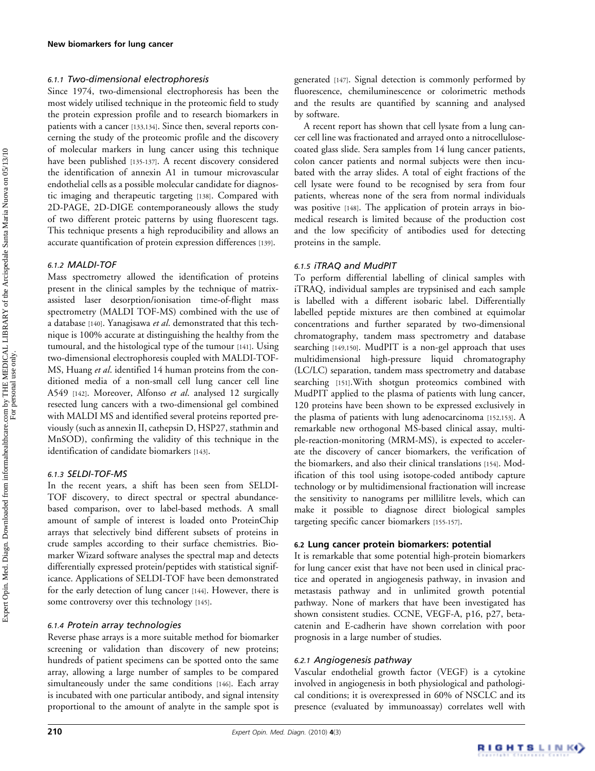## 6.1.1 Two-dimensional electrophoresis

Since 1974, two-dimensional electrophoresis has been the most widely utilised technique in the proteomic field to study the protein expression profile and to research biomarkers in patients with a cancer [133,134]. Since then, several reports concerning the study of the proteomic profile and the discovery of molecular markers in lung cancer using this technique have been published [135-137]. A recent discovery considered the identification of annexin A1 in tumour microvascular endothelial cells as a possible molecular candidate for diagnostic imaging and therapeutic targeting [138]. Compared with 2D-PAGE, 2D-DIGE contemporaneously allows the study of two different proteic patterns by using fluorescent tags. This technique presents a high reproducibility and allows an accurate quantification of protein expression differences [139].

## 6.1.2 MALDI-TOF

Mass spectrometry allowed the identification of proteins present in the clinical samples by the technique of matrixassisted laser desorption/ionisation time-of-flight mass spectrometry (MALDI TOF-MS) combined with the use of a database [140]. Yanagisawa et al. demonstrated that this technique is 100% accurate at distinguishing the healthy from the tumoural, and the histological type of the tumour [141]. Using two-dimensional electrophoresis coupled with MALDI-TOF-MS, Huang et al. identified 14 human proteins from the conditioned media of a non-small cell lung cancer cell line A549 [142]. Moreover, Alfonso et al. analysed 12 surgically resected lung cancers with a two-dimensional gel combined with MALDI MS and identified several proteins reported previously (such as annexin II, cathepsin D, HSP27, stathmin and MnSOD), confirming the validity of this technique in the identification of candidate biomarkers [143].

## 6.1.3 SELDI-TOF-MS

In the recent years, a shift has been seen from SELDI-TOF discovery, to direct spectral or spectral abundancebased comparison, over to label-based methods. A small amount of sample of interest is loaded onto ProteinChip arrays that selectively bind different subsets of proteins in crude samples according to their surface chemistries. Biomarker Wizard software analyses the spectral map and detects differentially expressed protein/peptides with statistical significance. Applications of SELDI-TOF have been demonstrated for the early detection of lung cancer [144]. However, there is some controversy over this technology [145].

## 6.1.4 Protein array technologies

Reverse phase arrays is a more suitable method for biomarker screening or validation than discovery of new proteins; hundreds of patient specimens can be spotted onto the same array, allowing a large number of samples to be compared simultaneously under the same conditions [146]. Each array is incubated with one particular antibody, and signal intensity proportional to the amount of analyte in the sample spot is

generated [147]. Signal detection is commonly performed by fluorescence, chemiluminescence or colorimetric methods and the results are quantified by scanning and analysed by software.

A recent report has shown that cell lysate from a lung cancer cell line was fractionated and arrayed onto a nitrocellulosecoated glass slide. Sera samples from 14 lung cancer patients, colon cancer patients and normal subjects were then incubated with the array slides. A total of eight fractions of the cell lysate were found to be recognised by sera from four patients, whereas none of the sera from normal individuals was positive [148]. The application of protein arrays in biomedical research is limited because of the production cost and the low specificity of antibodies used for detecting proteins in the sample.

## 6.1.5 iTRAQ and MudPIT

To perform differential labelling of clinical samples with iTRAQ, individual samples are trypsinised and each sample is labelled with a different isobaric label. Differentially labelled peptide mixtures are then combined at equimolar concentrations and further separated by two-dimensional chromatography, tandem mass spectrometry and database searching [149,150]. MudPIT is a non-gel approach that uses multidimensional high-pressure liquid chromatography (LC/LC) separation, tandem mass spectrometry and database searching [151]. With shotgun proteomics combined with MudPIT applied to the plasma of patients with lung cancer, 120 proteins have been shown to be expressed exclusively in the plasma of patients with lung adenocarcinoma [152,153]. A remarkable new orthogonal MS-based clinical assay, multiple-reaction-monitoring (MRM-MS), is expected to accelerate the discovery of cancer biomarkers, the verification of the biomarkers, and also their clinical translations [154]. Modification of this tool using isotope-coded antibody capture technology or by multidimensional fractionation will increase the sensitivity to nanograms per millilitre levels, which can make it possible to diagnose direct biological samples targeting specific cancer biomarkers [155-157].

## 6.2 Lung cancer protein biomarkers: potential

It is remarkable that some potential high-protein biomarkers for lung cancer exist that have not been used in clinical practice and operated in angiogenesis pathway, in invasion and metastasis pathway and in unlimited growth potential pathway. None of markers that have been investigated has shown consistent studies. CCNE, VEGF-A, p16, p27, betacatenin and E-cadherin have shown correlation with poor prognosis in a large number of studies.

## 6.2.1 Angiogenesis pathway

Vascular endothelial growth factor (VEGF) is a cytokine involved in angiogenesis in both physiological and pathological conditions; it is overexpressed in 60% of NSCLC and its presence (evaluated by immunoassay) correlates well with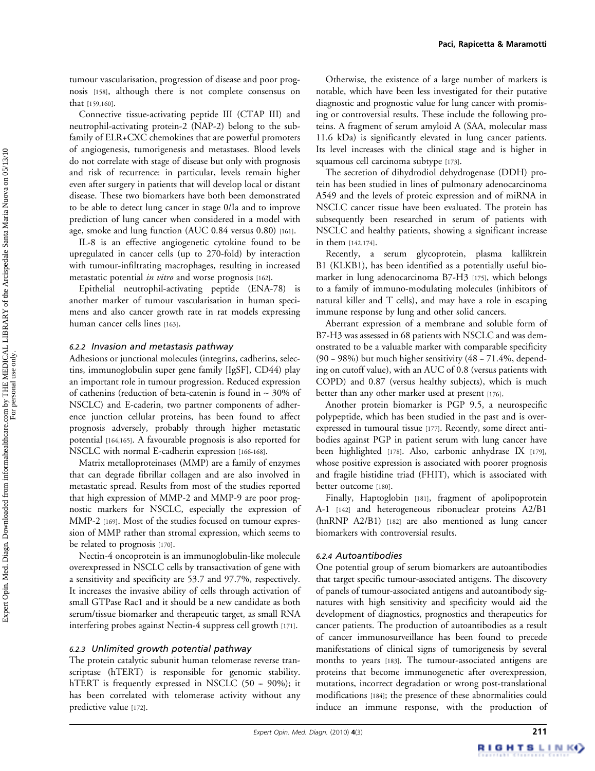tumour vascularisation, progression of disease and poor prognosis [158], although there is not complete consensus on that [159,160].

Connective tissue-activating peptide III (CTAP III) and neutrophil-activating protein-2 (NAP-2) belong to the subfamily of ELR+CXC chemokines that are powerful promoters of angiogenesis, tumorigenesis and metastases. Blood levels do not correlate with stage of disease but only with prognosis and risk of recurrence: in particular, levels remain higher even after surgery in patients that will develop local or distant disease. These two biomarkers have both been demonstrated to be able to detect lung cancer in stage 0/Ia and to improve prediction of lung cancer when considered in a model with age, smoke and lung function (AUC 0.84 versus 0.80) [161].

IL-8 is an effective angiogenetic cytokine found to be upregulated in cancer cells (up to 270-fold) by interaction with tumour-infiltrating macrophages, resulting in increased metastatic potential in vitro and worse prognosis [162].

Epithelial neutrophil-activating peptide (ENA-78) is another marker of tumour vascularisation in human specimens and also cancer growth rate in rat models expressing human cancer cells lines [163].

### 6.2.2 Invasion and metastasis pathway

Adhesions or junctional molecules (integrins, cadherins, selectins, immunoglobulin super gene family [IgSF], CD44) play an important role in tumour progression. Reduced expression of cathenins (reduction of beta-catenin is found in  $\sim$  30% of NSCLC) and E-caderin, two partner components of adherence junction cellular proteins, has been found to affect prognosis adversely, probably through higher metastatic potential [164,165]. A favourable prognosis is also reported for NSCLC with normal E-cadherin expression [166-168].

Matrix metalloproteinases (MMP) are a family of enzymes that can degrade fibrillar collagen and are also involved in metastatic spread. Results from most of the studies reported that high expression of MMP-2 and MMP-9 are poor prognostic markers for NSCLC, especially the expression of MMP-2 [169]. Most of the studies focused on tumour expression of MMP rather than stromal expression, which seems to be related to prognosis [170].

Nectin-4 oncoprotein is an immunoglobulin-like molecule overexpressed in NSCLC cells by transactivation of gene with a sensitivity and specificity are 53.7 and 97.7%, respectively. It increases the invasive ability of cells through activation of small GTPase Rac1 and it should be a new candidate as both serum/tissue biomarker and therapeutic target, as small RNA interfering probes against Nectin-4 suppress cell growth [171].

### 6.2.3 Unlimited growth potential pathway

The protein catalytic subunit human telomerase reverse transcriptase (hTERT) is responsible for genomic stability. hTERT is frequently expressed in NSCLC  $(50 - 90\%)$ ; it has been correlated with telomerase activity without any predictive value [172].

Otherwise, the existence of a large number of markers is notable, which have been less investigated for their putative diagnostic and prognostic value for lung cancer with promising or controversial results. These include the following proteins. A fragment of serum amyloid A (SAA, molecular mass 11.6 kDa) is significantly elevated in lung cancer patients. Its level increases with the clinical stage and is higher in squamous cell carcinoma subtype [173].

The secretion of dihydrodiol dehydrogenase (DDH) protein has been studied in lines of pulmonary adenocarcinoma A549 and the levels of proteic expression and of miRNA in NSCLC cancer tissue have been evaluated. The protein has subsequently been researched in serum of patients with NSCLC and healthy patients, showing a significant increase in them [142,174].

Recently, a serum glycoprotein, plasma kallikrein B1 (KLKB1), has been identified as a potentially useful biomarker in lung adenocarcinoma B7-H3 [175], which belongs to a family of immuno-modulating molecules (inhibitors of natural killer and T cells), and may have a role in escaping immune response by lung and other solid cancers.

Aberrant expression of a membrane and soluble form of B7-H3 was assessed in 68 patients with NSCLC and was demonstrated to be a valuable marker with comparable specificity  $(90 - 98%)$  but much higher sensitivity  $(48 - 71.4%)$ , depending on cutoff value), with an AUC of 0.8 (versus patients with COPD) and 0.87 (versus healthy subjects), which is much better than any other marker used at present [176].

Another protein biomarker is PGP 9.5, a neurospecific polypeptide, which has been studied in the past and is overexpressed in tumoural tissue [177]. Recently, some direct antibodies against PGP in patient serum with lung cancer have been highlighted [178]. Also, carbonic anhydrase IX [179], whose positive expression is associated with poorer prognosis and fragile histidine triad (FHIT), which is associated with better outcome [180].

Finally, Haptoglobin [181], fragment of apolipoprotein A-1 [142] and heterogeneous ribonuclear proteins A2/B1 (hnRNP A2/B1) [182] are also mentioned as lung cancer biomarkers with controversial results.

### 6.2.4 Autoantibodies

One potential group of serum biomarkers are autoantibodies that target specific tumour-associated antigens. The discovery of panels of tumour-associated antigens and autoantibody signatures with high sensitivity and specificity would aid the development of diagnostics, prognostics and therapeutics for cancer patients. The production of autoantibodies as a result of cancer immunosurveillance has been found to precede manifestations of clinical signs of tumorigenesis by several months to years [183]. The tumour-associated antigens are proteins that become immunogenetic after overexpression, mutations, incorrect degradation or wrong post-translational modifications [184]; the presence of these abnormalities could induce an immune response, with the production of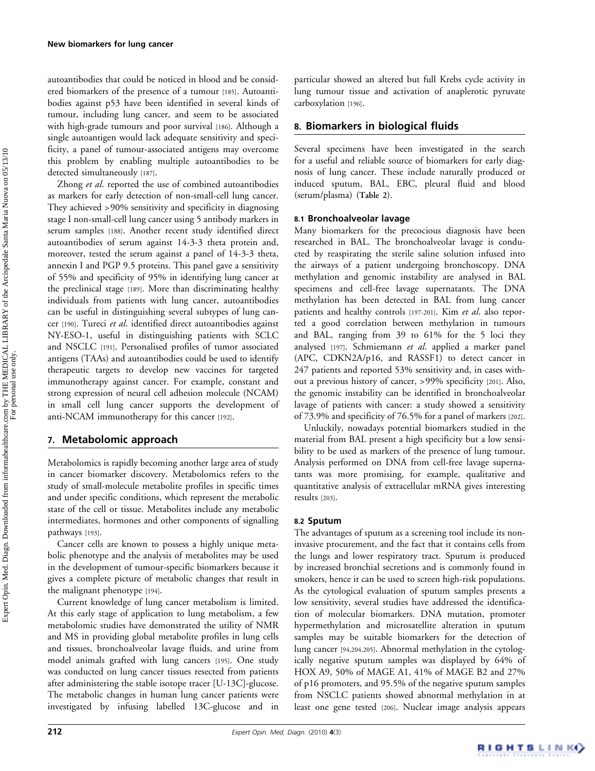autoantibodies that could be noticed in blood and be considered biomarkers of the presence of a tumour [185]. Autoantibodies against p53 have been identified in several kinds of tumour, including lung cancer, and seem to be associated with high-grade tumours and poor survival [186]. Although a single autoantigen would lack adequate sensitivity and specificity, a panel of tumour-associated antigens may overcome this problem by enabling multiple autoantibodies to be detected simultaneously [187].

Zhong et al. reported the use of combined autoantibodies as markers for early detection of non-small-cell lung cancer. They achieved >90% sensitivity and specificity in diagnosing stage I non-small-cell lung cancer using 5 antibody markers in serum samples [188]. Another recent study identified direct autoantibodies of serum against 14-3-3 theta protein and, moreover, tested the serum against a panel of 14-3-3 theta, annexin I and PGP 9.5 proteins. This panel gave a sensitivity of 55% and specificity of 95% in identifying lung cancer at the preclinical stage [189]. More than discriminating healthy individuals from patients with lung cancer, autoantibodies can be useful in distinguishing several subtypes of lung cancer [190]. Tureci et al. identified direct autoantibodies against NY-ESO-1, useful in distinguishing patients with SCLC and NSCLC [191]. Personalised profiles of tumor associated antigens (TAAs) and autoantibodies could be used to identify therapeutic targets to develop new vaccines for targeted immunotherapy against cancer. For example, constant and strong expression of neural cell adhesion molecule (NCAM) in small cell lung cancer supports the development of anti-NCAM immunotherapy for this cancer [192].

## 7. Metabolomic approach

Metabolomics is rapidly becoming another large area of study in cancer biomarker discovery. Metabolomics refers to the study of small-molecule metabolite profiles in specific times and under specific conditions, which represent the metabolic state of the cell or tissue. Metabolites include any metabolic intermediates, hormones and other components of signalling pathways [193].

Cancer cells are known to possess a highly unique metabolic phenotype and the analysis of metabolites may be used in the development of tumour-specific biomarkers because it gives a complete picture of metabolic changes that result in the malignant phenotype [194].

Current knowledge of lung cancer metabolism is limited. At this early stage of application to lung metabolism, a few metabolomic studies have demonstrated the utility of NMR and MS in providing global metabolite profiles in lung cells and tissues, bronchoalveolar lavage fluids, and urine from model animals grafted with lung cancers [195]. One study was conducted on lung cancer tissues resected from patients after administering the stable isotope tracer [U-13C]-glucose. The metabolic changes in human lung cancer patients were investigated by infusing labelled 13C-glucose and in

particular showed an altered but full Krebs cycle activity in lung tumour tissue and activation of anaplerotic pyruvate carboxylation [196].

## 8. Biomarkers in biological fluids

Several specimens have been investigated in the search for a useful and reliable source of biomarkers for early diagnosis of lung cancer. These include naturally produced or induced sputum, BAL, EBC, pleural fluid and blood (serum/plasma) (Table 2).

## 8.1 Bronchoalveolar lavage

Many biomarkers for the precocious diagnosis have been researched in BAL. The bronchoalveolar lavage is conducted by reaspirating the sterile saline solution infused into the airways of a patient undergoing bronchoscopy. DNA methylation and genomic instability are analysed in BAL specimens and cell-free lavage supernatants. The DNA methylation has been detected in BAL from lung cancer patients and healthy controls [197-201]. Kim et al. also reported a good correlation between methylation in tumours and BAL, ranging from 39 to 61% for the 5 loci they analysed [197]. Schmiemann et al. applied a marker panel (APC, CDKN2A/p16, and RASSF1) to detect cancer in 247 patients and reported 53% sensitivity and, in cases without a previous history of cancer, >99% specificity [201]. Also, the genomic instability can be identified in bronchoalveolar lavage of patients with cancer: a study showed a sensitivity of 73.9% and specificity of 76.5% for a panel of markers [202].

Unluckily, nowadays potential biomarkers studied in the material from BAL present a high specificity but a low sensibility to be used as markers of the presence of lung tumour. Analysis performed on DNA from cell-free lavage supernatants was more promising, for example, qualitative and quantitative analysis of extracellular mRNA gives interesting results [203].

## 8.2 Sputum

The advantages of sputum as a screening tool include its noninvasive procurement, and the fact that it contains cells from the lungs and lower respiratory tract. Sputum is produced by increased bronchial secretions and is commonly found in smokers, hence it can be used to screen high-risk populations. As the cytological evaluation of sputum samples presents a low sensitivity, several studies have addressed the identification of molecular biomarkers. DNA mutation, promoter hypermethylation and microsatellite alteration in sputum samples may be suitable biomarkers for the detection of lung cancer [94,204,205]. Abnormal methylation in the cytologically negative sputum samples was displayed by 64% of HOX A9, 50% of MAGE A1, 41% of MAGE B2 and 27% of p16 promoters, and 95.5% of the negative sputum samples from NSCLC patients showed abnormal methylation in at least one gene tested [206]. Nuclear image analysis appears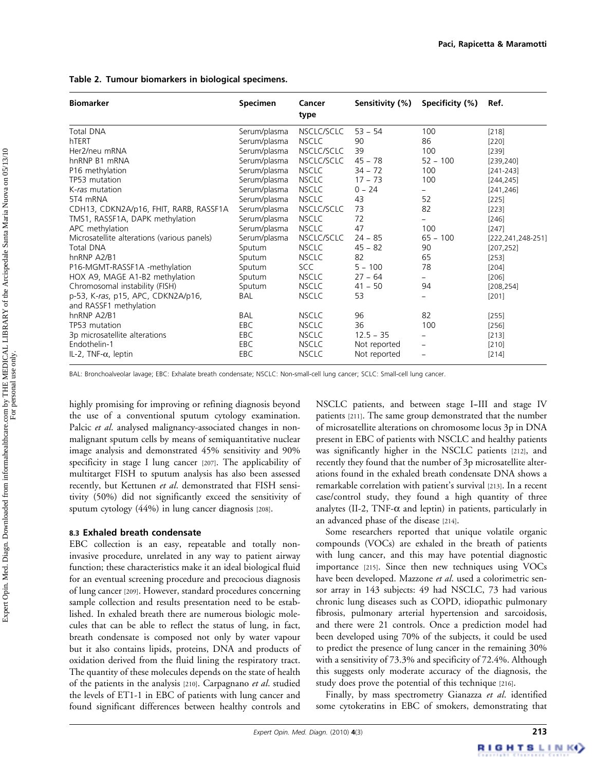|  |  | Table 2. Tumour biomarkers in biological specimens. |  |
|--|--|-----------------------------------------------------|--|
|--|--|-----------------------------------------------------|--|

| <b>Biomarker</b>                                             | <b>Specimen</b> | Cancer<br>type | Sensitivity (%) | Specificity (%) | Ref.                    |
|--------------------------------------------------------------|-----------------|----------------|-----------------|-----------------|-------------------------|
| <b>Total DNA</b>                                             | Serum/plasma    | NSCLC/SCLC     | $53 - 54$       | 100             | $[218]$                 |
| hTERT                                                        | Serum/plasma    | <b>NSCLC</b>   | 90              | 86              | $[220]$                 |
| Her2/neu mRNA                                                | Serum/plasma    | NSCLC/SCLC     | 39              | 100             | $[239]$                 |
| hnRNP B1 mRNA                                                | Serum/plasma    | NSCLC/SCLC     | $45 - 78$       | $52 - 100$      | [239, 240]              |
| P16 methylation                                              | Serum/plasma    | <b>NSCLC</b>   | $34 - 72$       | 100             | $[241 - 243]$           |
| TP53 mutation                                                | Serum/plasma    | <b>NSCLC</b>   | $17 - 73$       | 100             | [244, 245]              |
| K-ras mutation                                               | Serum/plasma    | <b>NSCLC</b>   | $0 - 24$        | Ξ.              | [241, 246]              |
| 5T4 mRNA                                                     | Serum/plasma    | <b>NSCLC</b>   | 43              | 52              | $[225]$                 |
| CDH13, CDKN2A/p16, FHIT, RARB, RASSF1A                       | Serum/plasma    | NSCLC/SCLC     | 73              | 82              | $[223]$                 |
| TMS1, RASSF1A, DAPK methylation                              | Serum/plasma    | <b>NSCLC</b>   | 72              | -               | [246]                   |
| APC methylation                                              | Serum/plasma    | <b>NSCLC</b>   | 47              | 100             | $[247]$                 |
| Microsatellite alterations (various panels)                  | Serum/plasma    | NSCLC/SCLC     | $24 - 85$       | $65 - 100$      | $[222, 241, 248 - 251]$ |
| <b>Total DNA</b>                                             | Sputum          | <b>NSCLC</b>   | $45 - 82$       | 90              | [207, 252]              |
| hnRNP A2/B1                                                  | Sputum          | <b>NSCLC</b>   | 82              | 65              | [253]                   |
| P16-MGMT-RASSF1A -methylation                                | Sputum          | <b>SCC</b>     | $5 - 100$       | 78              | $[204]$                 |
| HOX A9, MAGE A1-B2 methylation                               | Sputum          | <b>NSCLC</b>   | $27 - 64$       | -               | $[206]$                 |
| Chromosomal instability (FISH)                               | Sputum          | <b>NSCLC</b>   | $41 - 50$       | 94              | [208, 254]              |
| p-53, K-ras, p15, APC, CDKN2A/p16,<br>and RASSF1 methylation | <b>BAL</b>      | <b>NSCLC</b>   | 53              | -               | $[201]$                 |
| hnRNP A2/B1                                                  | <b>BAL</b>      | <b>NSCLC</b>   | 96              | 82              | $[255]$                 |
| TP53 mutation                                                | EBC             | <b>NSCLC</b>   | 36              | 100             | $[256]$                 |
| 3p microsatellite alterations                                | EBC             | <b>NSCLC</b>   | $12.5 - 35$     |                 | $[213]$                 |
| Endothelin-1                                                 | EBC             | <b>NSCLC</b>   | Not reported    | ÷               | $[210]$                 |
| IL-2, TNF- $\alpha$ , leptin                                 | EBC             | <b>NSCLC</b>   | Not reported    |                 | $[214]$                 |

BAL: Bronchoalveolar lavage; EBC: Exhalate breath condensate; NSCLC: Non-small-cell lung cancer; SCLC: Small-cell lung cancer.

highly promising for improving or refining diagnosis beyond the use of a conventional sputum cytology examination. Palcic et al. analysed malignancy-associated changes in nonmalignant sputum cells by means of semiquantitative nuclear image analysis and demonstrated 45% sensitivity and 90% specificity in stage I lung cancer [207]. The applicability of multitarget FISH to sputum analysis has also been assessed recently, but Kettunen et al. demonstrated that FISH sensitivity (50%) did not significantly exceed the sensitivity of sputum cytology (44%) in lung cancer diagnosis [208].

## 8.3 Exhaled breath condensate

EBC collection is an easy, repeatable and totally noninvasive procedure, unrelated in any way to patient airway function; these characteristics make it an ideal biological fluid for an eventual screening procedure and precocious diagnosis of lung cancer [209]. However, standard procedures concerning sample collection and results presentation need to be established. In exhaled breath there are numerous biologic molecules that can be able to reflect the status of lung, in fact, breath condensate is composed not only by water vapour but it also contains lipids, proteins, DNA and products of oxidation derived from the fluid lining the respiratory tract. The quantity of these molecules depends on the state of health of the patients in the analysis [210]. Carpagnano et al. studied the levels of ET1-1 in EBC of patients with lung cancer and found significant differences between healthy controls and

NSCLC patients, and between stage I-III and stage IV patients [211]. The same group demonstrated that the number of microsatellite alterations on chromosome locus 3p in DNA present in EBC of patients with NSCLC and healthy patients was significantly higher in the NSCLC patients [212], and recently they found that the number of 3p microsatellite alterations found in the exhaled breath condensate DNA shows a remarkable correlation with patient's survival [213]. In a recent case/control study, they found a high quantity of three analytes (II-2, TNF- $\alpha$  and leptin) in patients, particularly in an advanced phase of the disease [214].

Some researchers reported that unique volatile organic compounds (VOCs) are exhaled in the breath of patients with lung cancer, and this may have potential diagnostic importance [215]. Since then new techniques using VOCs have been developed. Mazzone et al. used a colorimetric sensor array in 143 subjects: 49 had NSCLC, 73 had various chronic lung diseases such as COPD, idiopathic pulmonary fibrosis, pulmonary arterial hypertension and sarcoidosis, and there were 21 controls. Once a prediction model had been developed using 70% of the subjects, it could be used to predict the presence of lung cancer in the remaining 30% with a sensitivity of 73.3% and specificity of 72.4%. Although this suggests only moderate accuracy of the diagnosis, the study does prove the potential of this technique [216].

Finally, by mass spectrometry Gianazza et al. identified some cytokeratins in EBC of smokers, demonstrating that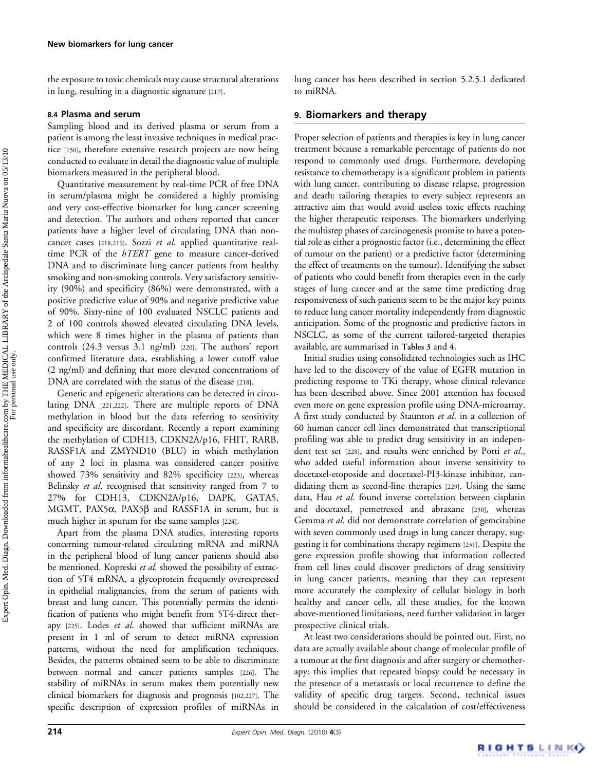the exposure to toxic chemicals may cause structural alterations in lung, resulting in a diagnostic signature [217].

## 8.4 Plasma and serum

Sampling blood and its derived plasma or serum from a patient is among the least invasive techniques in medical practice [150], therefore extensive research projects are now being conducted to evaluate in detail the diagnostic value of multiple biomarkers measured in the peripheral blood.

Quantitative measurement by real-time PCR of free DNA in serum/plasma might be considered a highly promising and very cost-effective biomarker for lung cancer screening and detection. The authors and others reported that cancer patients have a higher level of circulating DNA than noncancer cases [218,219]. Sozzi et al. applied quantitative realtime PCR of the  $hTERT$  gene to measure cancer-derived DNA and to discriminate lung cancer patients from healthy smoking and non-smoking controls. Very satisfactory sensitivity (90%) and specificity (86%) were demonstrated, with a positive predictive value of 90% and negative predictive value of 90%. Sixty-nine of 100 evaluated NSCLC patients and 2 of 100 controls showed elevated circulating DNA levels, which were 8 times higher in the plasma of patients than controls (24.3 versus 3.1 ng/ml) [220]. The authors' report confirmed literature data, establishing a lower cutoff value (2 ng/ml) and defining that more elevated concentrations of DNA are correlated with the status of the disease [218].

Genetic and epigenetic alterations can be detected in circulating DNA [221,222]. There are multiple reports of DNA methylation in blood but the data referring to sensitivity and specificity are discordant. Recently a report examining the methylation of CDH13, CDKN2A/p16, FHIT, RARB, RASSF1A and ZMYND10 (BLU) in which methylation of any 2 loci in plasma was considered cancer positive showed 73% sensitivity and 82% specificity [223], whereas Belinsky et al. recognised that sensitivity ranged from 7 to 27% for CDH13, CDKN2A/p16, DAPK, GATA5, MGMT, PAX5 $\alpha$ , PAX5 $\beta$  and RASSF1A in serum, but is much higher in sputum for the same samples [224].

Apart from the plasma DNA studies, interesting reports concerning tumour-related circulating mRNA and miRNA in the peripheral blood of lung cancer patients should also be mentioned. Kopreski et al. showed the possibility of extraction of 5T4 mRNA, a glycoprotein frequently overexpressed in epithelial malignancies, from the serum of patients with breast and lung cancer. This potentially permits the identification of patients who might benefit from 5T4-direct therapy [225]. Lodes et al. showed that sufficient miRNAs are present in 1 ml of serum to detect miRNA expression patterns, without the need for amplification techniques. Besides, the patterns obtained seem to be able to discriminate between normal and cancer patients samples [226]. The stability of miRNAs in serum makes them potentially new clinical biomarkers for diagnosis and prognosis [102,227]. The specific description of expression profiles of miRNAs in

lung cancer has been described in section 5.2.5.1 dedicated to miRNA.

## 9. Biomarkers and therapy

Proper selection of patients and therapies is key in lung cancer treatment because a remarkable percentage of patients do not respond to commonly used drugs. Furthermore, developing resistance to chemotherapy is a significant problem in patients with lung cancer, contributing to disease relapse, progression and death: tailoring therapies to every subject represents an attractive aim that would avoid useless toxic effects reaching the higher therapeutic responses. The biomarkers underlying the multistep phases of carcinogenesis promise to have a potential role as either a prognostic factor (i.e., determining the effect of tumour on the patient) or a predictive factor (determining the effect of treatments on the tumour). Identifying the subset of patients who could benefit from therapies even in the early stages of lung cancer and at the same time predicting drug responsiveness of such patients seem to be the major key points to reduce lung cancer mortality independently from diagnostic anticipation. Some of the prognostic and predictive factors in NSCLC, as some of the current tailored-targeted therapies available, are summarised in Tables 3 and 4.

Initial studies using consolidated technologies such as IHC have led to the discovery of the value of EGFR mutation in predicting response to TKi therapy, whose clinical relevance has been described above. Since 2001 attention has focused even more on gene expression profile using DNA-microarray. A first study conducted by Staunton et al. in a collection of 60 human cancer cell lines demonstrated that transcriptional profiling was able to predict drug sensitivity in an independent test set [228], and results were enriched by Potti et al., who added useful information about inverse sensitivity to docetaxel-etoposide and docetaxel-PI3-kinase inhibitor, candidating them as second-line therapies [229]. Using the same data, Hsu et al. found inverse correlation between cisplatin and docetaxel, pemetrexed and abraxane [230], whereas Gemma et al. did not demonstrate correlation of gemcitabine with seven commonly used drugs in lung cancer therapy, suggesting it for combinations therapy regimens [231]. Despite the gene expression profile showing that information collected from cell lines could discover predictors of drug sensitivity in lung cancer patients, meaning that they can represent more accurately the complexity of cellular biology in both healthy and cancer cells, all these studies, for the known above-mentioned limitations, need further validation in larger prospective clinical trials.

At least two considerations should be pointed out. First, no data are actually available about change of molecular profile of a tumour at the first diagnosis and after surgery or chemotherapy: this implies that repeated biopsy could be necessary in the presence of a metastasis or local recurrence to define the validity of specific drug targets. Second, technical issues should be considered in the calculation of cost/effectiveness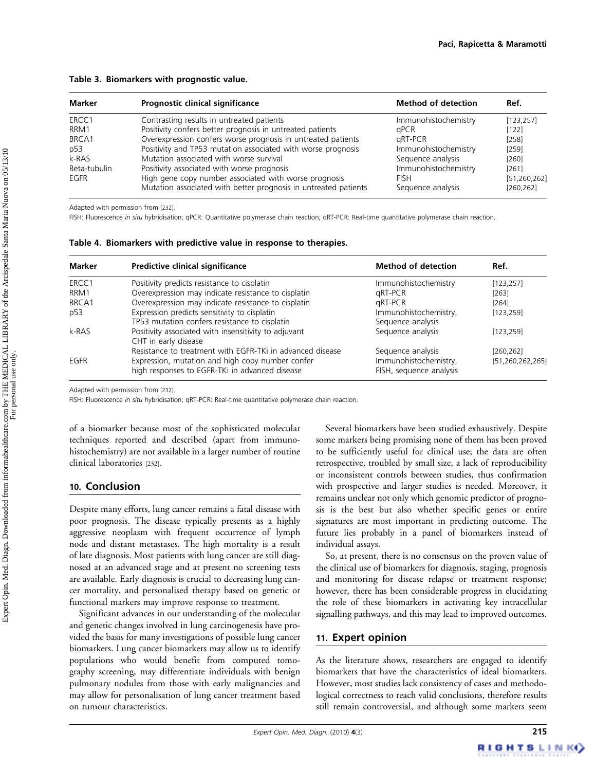## Table 3. Biomarkers with prognostic value.

| <b>Marker</b> | <b>Prognostic clinical significance</b>                         | <b>Method of detection</b> | Ref.           |
|---------------|-----------------------------------------------------------------|----------------------------|----------------|
| ERCC1         | Contrasting results in untreated patients                       | Immunohistochemistry       | [123, 257]     |
| RRM1          | Positivity confers better prognosis in untreated patients       | aPCR                       | [122]          |
| BRCA1         | Overexpression confers worse prognosis in untreated patients    | aRT-PCR                    | $[258]$        |
| p53           | Positivity and TP53 mutation associated with worse prognosis    | Immunohistochemistry       | $[259]$        |
| k-RAS         | Mutation associated with worse survival                         | Sequence analysis          | $[260]$        |
| Beta-tubulin  | Positivity associated with worse prognosis                      | Immunohistochemistry       | [261]          |
| EGFR          | High gene copy number associated with worse prognosis           | <b>FISH</b>                | [51, 260, 262] |
|               | Mutation associated with better prognosis in untreated patients | Sequence analysis          | [260, 262]     |

Adapted with permission from [232].

FISH: Fluorescence in situ hybridisation; qPCR: Quantitative polymerase chain reaction; qRT-PCR: Real-time quantitative polymerase chain reaction.

| Marker | Predictive clinical significance                          | <b>Method of detection</b> | Ref.                |
|--------|-----------------------------------------------------------|----------------------------|---------------------|
| ERCC1  | Positivity predicts resistance to cisplatin               | Immunohistochemistry       | [123, 257]          |
| RRM1   | Overexpression may indicate resistance to cisplatin       | aRT-PCR                    | [263]               |
| BRCA1  | Overexpression may indicate resistance to cisplatin       | aRT-PCR                    | [264]               |
| p53    | Expression predicts sensitivity to cisplatin              | Immunohistochemistry,      | [123, 259]          |
|        | TP53 mutation confers resistance to cisplatin             | Sequence analysis          |                     |
| k-RAS  | Positivity associated with insensitivity to adjuvant      | Sequence analysis          | [123, 259]          |
|        | CHT in early disease                                      |                            |                     |
|        | Resistance to treatment with EGFR-TKi in advanced disease | Sequence analysis          | [260, 262]          |
| EGFR   | Expression, mutation and high copy number confer          | Immunohistochemistry,      | [51, 260, 262, 265] |
|        | high responses to EGFR-TKi in advanced disease            | FISH, sequence analysis    |                     |

Adapted with permission from [232].

FISH: Fluorescence in situ hybridisation; qRT-PCR: Real-time quantitative polymerase chain reaction.

of a biomarker because most of the sophisticated molecular techniques reported and described (apart from immunohistochemistry) are not available in a larger number of routine clinical laboratories [232].

## 10. Conclusion

Despite many efforts, lung cancer remains a fatal disease with poor prognosis. The disease typically presents as a highly aggressive neoplasm with frequent occurrence of lymph node and distant metastases. The high mortality is a result of late diagnosis. Most patients with lung cancer are still diagnosed at an advanced stage and at present no screening tests are available. Early diagnosis is crucial to decreasing lung cancer mortality, and personalised therapy based on genetic or functional markers may improve response to treatment.

Significant advances in our understanding of the molecular and genetic changes involved in lung carcinogenesis have provided the basis for many investigations of possible lung cancer biomarkers. Lung cancer biomarkers may allow us to identify populations who would benefit from computed tomography screening, may differentiate individuals with benign pulmonary nodules from those with early malignancies and may allow for personalisation of lung cancer treatment based on tumour characteristics.

Several biomarkers have been studied exhaustively. Despite some markers being promising none of them has been proved to be sufficiently useful for clinical use; the data are often retrospective, troubled by small size, a lack of reproducibility or inconsistent controls between studies, thus confirmation with prospective and larger studies is needed. Moreover, it remains unclear not only which genomic predictor of prognosis is the best but also whether specific genes or entire signatures are most important in predicting outcome. The future lies probably in a panel of biomarkers instead of individual assays.

So, at present, there is no consensus on the proven value of the clinical use of biomarkers for diagnosis, staging, prognosis and monitoring for disease relapse or treatment response; however, there has been considerable progress in elucidating the role of these biomarkers in activating key intracellular signalling pathways, and this may lead to improved outcomes.

## 11. Expert opinion

As the literature shows, researchers are engaged to identify biomarkers that have the characteristics of ideal biomarkers. However, most studies lack consistency of cases and methodological correctness to reach valid conclusions, therefore results still remain controversial, and although some markers seem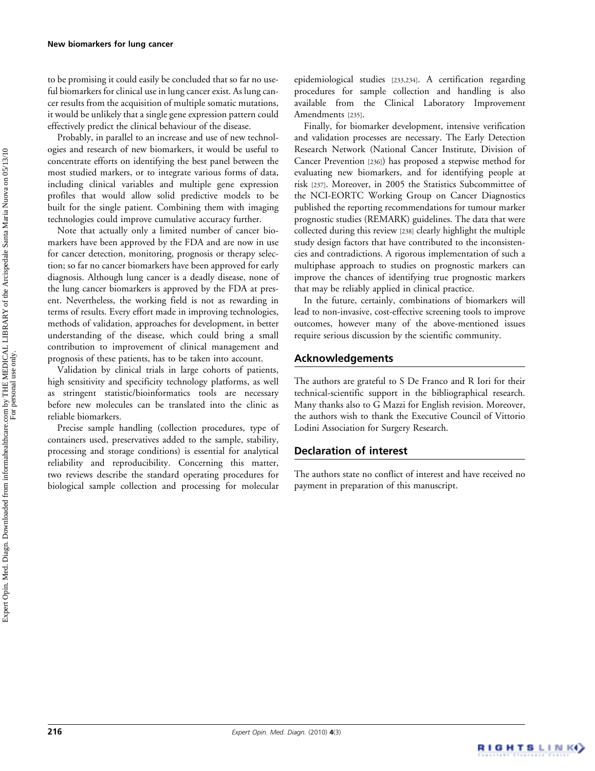to be promising it could easily be concluded that so far no useful biomarkers for clinical use in lung cancer exist. As lung cancer results from the acquisition of multiple somatic mutations, it would be unlikely that a single gene expression pattern could effectively predict the clinical behaviour of the disease.

Probably, in parallel to an increase and use of new technologies and research of new biomarkers, it would be useful to concentrate efforts on identifying the best panel between the most studied markers, or to integrate various forms of data, including clinical variables and multiple gene expression profiles that would allow solid predictive models to be built for the single patient. Combining them with imaging technologies could improve cumulative accuracy further.

Note that actually only a limited number of cancer biomarkers have been approved by the FDA and are now in use for cancer detection, monitoring, prognosis or therapy selection; so far no cancer biomarkers have been approved for early diagnosis. Although lung cancer is a deadly disease, none of the lung cancer biomarkers is approved by the FDA at present. Nevertheless, the working field is not as rewarding in terms of results. Every effort made in improving technologies, methods of validation, approaches for development, in better understanding of the disease, which could bring a small contribution to improvement of clinical management and prognosis of these patients, has to be taken into account.

Validation by clinical trials in large cohorts of patients, high sensitivity and specificity technology platforms, as well as stringent statistic/bioinformatics tools are necessary before new molecules can be translated into the clinic as reliable biomarkers.

Precise sample handling (collection procedures, type of containers used, preservatives added to the sample, stability, processing and storage conditions) is essential for analytical reliability and reproducibility. Concerning this matter, two reviews describe the standard operating procedures for biological sample collection and processing for molecular epidemiological studies [233,234]. A certification regarding procedures for sample collection and handling is also available from the Clinical Laboratory Improvement Amendments [235].

Finally, for biomarker development, intensive verification and validation processes are necessary. The Early Detection Research Network (National Cancer Institute, Division of Cancer Prevention [236]) has proposed a stepwise method for evaluating new biomarkers, and for identifying people at risk [237]. Moreover, in 2005 the Statistics Subcommittee of the NCI-EORTC Working Group on Cancer Diagnostics published the reporting recommendations for tumour marker prognostic studies (REMARK) guidelines. The data that were collected during this review [238] clearly highlight the multiple study design factors that have contributed to the inconsistencies and contradictions. A rigorous implementation of such a multiphase approach to studies on prognostic markers can improve the chances of identifying true prognostic markers that may be reliably applied in clinical practice.

In the future, certainly, combinations of biomarkers will lead to non-invasive, cost-effective screening tools to improve outcomes, however many of the above-mentioned issues require serious discussion by the scientific community.

## Acknowledgements

The authors are grateful to S De Franco and R Iori for their technical-scientific support in the bibliographical research. Many thanks also to G Mazzi for English revision. Moreover, the authors wish to thank the Executive Council of Vittorio Lodini Association for Surgery Research.

## Declaration of interest

The authors state no conflict of interest and have received no payment in preparation of this manuscript.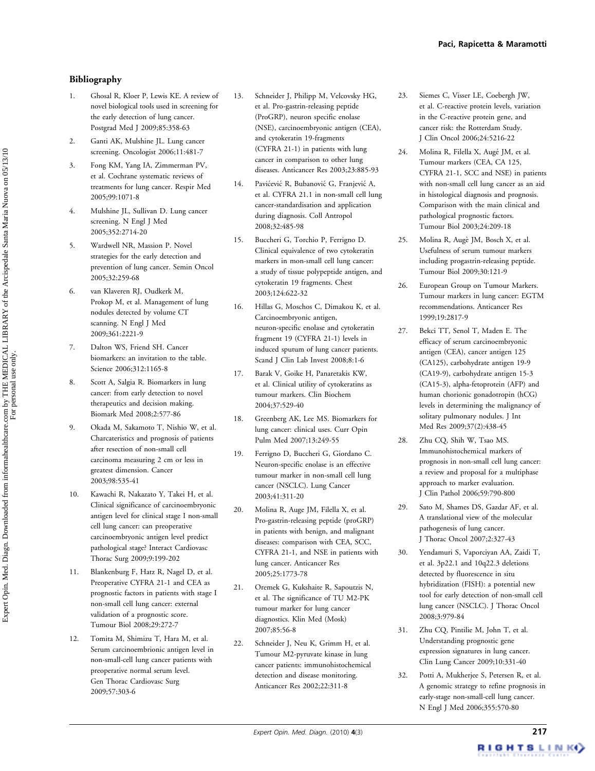## Bibliography

- 1. Ghosal R, Kloer P, Lewis KE. A review of novel biological tools used in screening for the early detection of lung cancer. Postgrad Med J 2009;85:358-63
- 2. Ganti AK, Mulshine JL. Lung cancer screening. Oncologist 2006;11:481-7
- 3. Fong KM, Yang IA, Zimmerman PV, et al. Cochrane systematic reviews of treatments for lung cancer. Respir Med 2005;99:1071-8
- 4. Mulshine JL, Sullivan D. Lung cancer screening. N Engl J Med 2005;352:2714-20
- 5. Wardwell NR, Massion P. Novel strategies for the early detection and prevention of lung cancer. Semin Oncol 2005;32:259-68
- 6. van Klaveren RJ, Oudkerk M, Prokop M, et al. Management of lung nodules detected by volume CT scanning. N Engl J Med 2009;361:2221-9
- 7. Dalton WS, Friend SH. Cancer biomarkers: an invitation to the table. Science 2006;312:1165-8
- 8. Scott A, Salgia R. Biomarkers in lung cancer: from early detection to novel therapeutics and decision making. Biomark Med 2008;2:577-86
- 9. Okada M, Sakamoto T, Nishio W, et al. Charcateristics and prognosis of patients after resection of non-small cell carcinoma measuring 2 cm or less in greatest dimension. Cancer 2003;98:535-41
- 10. Kawachi R, Nakazato Y, Takei H, et al. Clinical significance of carcinoembryonic antigen level for clinical stage I non-small cell lung cancer: can preoperative carcinoembryonic antigen level predict pathological stage? Interact Cardiovasc Thorac Surg 2009;9:199-202
- 11. Blankenburg F, Hatz R, Nagel D, et al. Preoperative CYFRA 21-1 and CEA as prognostic factors in patients with stage I non-small cell lung cancer: external validation of a prognostic score. Tumour Biol 2008;29:272-7
- 12. Tomita M, Shimizu T, Hara M, et al. Serum carcinoembrionic antigen level in non-small-cell lung cancer patients with preoperative normal serum level. Gen Thorac Cardiovasc Surg 2009;57:303-6
- 13. Schneider J, Philipp M, Velcovsky HG, et al. Pro-gastrin-releasing peptide (ProGRP), neuron specific enolase (NSE), carcinoembryonic antigen (CEA), and cytokeratin 19-fragments (CYFRA 21-1) in patients with lung cancer in comparison to other lung diseases. Anticancer Res 2003;23:885-93
- 14. Pavićević R, Bubanović G, Franjević A, et al. CYFRA 21.1 in non-small cell lung cancer-standardisation and application during diagnosis. Coll Antropol 2008;32:485-98
- 15. Buccheri G, Torchio P, Ferrigno D. Clinical equivalence of two cytokeratin markers in mon-small cell lung cancer: a study of tissue polypeptide antigen, and cytokeratin 19 fragments. Chest 2003;124:622-32
- 16. Hillas G, Moschos C, Dimakou K, et al. Carcinoembryonic antigen, neuron-specific enolase and cytokeratin fragment 19 (CYFRA 21-1) levels in induced sputum of lung cancer patients. Scand J Clin Lab Invest 2008;8:1-6
- 17. Barak V, Goike H, Panaretakis KW, et al. Clinical utility of cytokeratins as tumour markers. Clin Biochem 2004;37:529-40
- 18. Greenberg AK, Lee MS. Biomarkers for lung cancer: clinical uses. Curr Opin Pulm Med 2007;13:249-55
- 19. Ferrigno D, Buccheri G, Giordano C. Neuron-specific enolase is an effective tumour marker in non-small cell lung cancer (NSCLC). Lung Cancer 2003;41:311-20
- 20. Molina R, Auge JM, Filella X, et al. Pro-gastrin-releasing peptide (proGRP) in patients with benign, and malignant diseases: comparison with CEA, SCC, CYFRA 21-1, and NSE in patients with lung cancer. Anticancer Res 2005;25:1773-78
- 21. Oremek G, Kukshaite R, Sapoutzis N, et al. The significance of TU M2-PK tumour marker for lung cancer diagnostics. Klin Med (Mosk) 2007;85:56-8
- 22. Schneider J, Neu K, Grimm H, et al. Tumour M2-pyruvate kinase in lung cancer patients: immunohistochemical detection and disease monitoring. Anticancer Res 2002;22:311-8
- 23. Siemes C, Visser LE, Coebergh JW, et al. C-reactive protein levels, variation in the C-reactive protein gene, and cancer risk: the Rotterdam Study. J Clin Oncol 2006;24:5216-22
- 24. Molina R, Filella X, Augé JM, et al. Tumour markers (CEA, CA 125, CYFRA 21-1, SCC and NSE) in patients with non-small cell lung cancer as an aid in histological diagnosis and prognosis. Comparison with the main clinical and pathological prognostic factors. Tumour Biol 2003;24:209-18
- 25. Molina R, Augè JM, Bosch X, et al. Usefulness of serum tumour markers including progastrin-releasing peptide. Tumour Biol 2009;30:121-9
- 26. European Group on Tumour Markers. Tumour markers in lung cancer: EGTM recommendations. Anticancer Res 1999;19:2817-9
- 27. Bekci TT, Senol T, Maden E. The efficacy of serum carcinoembryonic antigen (CEA), cancer antigen 125 (CA125), carbohydrate antigen 19-9 (CA19-9), carbohydrate antigen 15-3 (CA15-3), alpha-fetoprotein (AFP) and human chorionic gonadotropin (hCG) levels in determining the malignancy of solitary pulmonary nodules. J Int Med Res 2009;37(2):438-45
- 28. Zhu CQ, Shih W, Tsao MS. Immunohistochemical markers of prognosis in non-small cell lung cancer: a review and proposal for a multiphase approach to marker evaluation. J Clin Pathol 2006;59:790-800
- 29. Sato M, Shames DS, Gazdar AF, et al. A translational view of the molecular pathogenesis of lung cancer. J Thorac Oncol 2007;2:327-43
- 30. Yendamuri S, Vaporciyan AA, Zaidi T, et al. 3p22.1 and 10q22.3 deletions detected by fluorescence in situ hybridization (FISH): a potential new tool for early detection of non-small cell lung cancer (NSCLC). J Thorac Oncol 2008;3:979-84
- 31. Zhu CQ, Pintilie M, John T, et al. Understanding prognostic gene expression signatures in lung cancer. Clin Lung Cancer 2009;10:331-40
- 32. Potti A, Mukherjee S, Petersen R, et al. A genomic strategy to refine prognosis in early-stage non-small-cell lung cancer. N Engl J Med 2006;355:570-80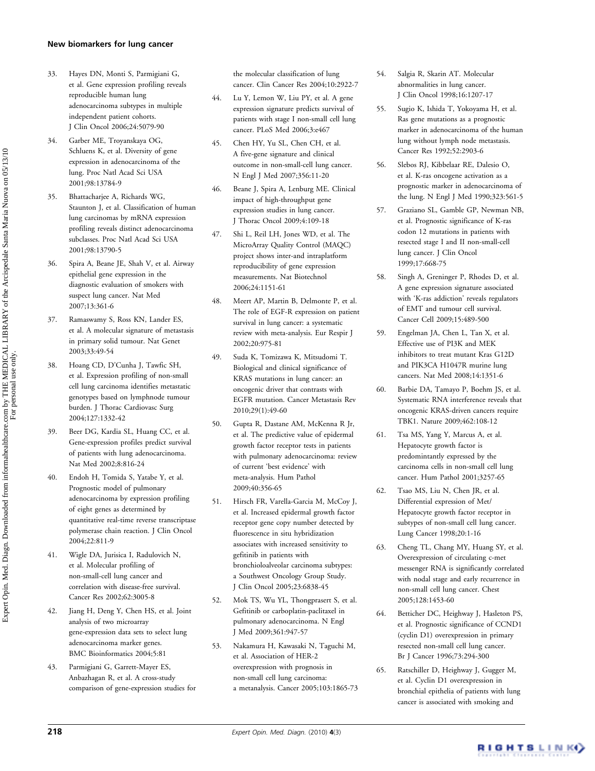- 33. Hayes DN, Monti S, Parmigiani G, et al. Gene expression profiling reveals reproducible human lung adenocarcinoma subtypes in multiple independent patient cohorts. J Clin Oncol 2006;24:5079-90
- 34. Garber ME, Troyanskaya OG, Schluens K, et al. Diversity of gene expression in adenocarcinoma of the lung. Proc Natl Acad Sci USA 2001;98:13784-9
- 35. Bhattacharjee A, Richards WG, Staunton J, et al. Classification of human lung carcinomas by mRNA expression profiling reveals distinct adenocarcinoma subclasses. Proc Natl Acad Sci USA 2001;98:13790-5
- 36. Spira A, Beane JE, Shah V, et al. Airway epithelial gene expression in the diagnostic evaluation of smokers with suspect lung cancer. Nat Med 2007;13:361-6
- 37. Ramaswamy S, Ross KN, Lander ES, et al. A molecular signature of metastasis in primary solid tumour. Nat Genet 2003;33:49-54
- 38. Hoang CD, D'Cunha J, Tawfic SH, et al. Expression profiling of non-small cell lung carcinoma identifies metastatic genotypes based on lymphnode tumour burden. J Thorac Cardiovasc Surg 2004;127:1332-42
- 39. Beer DG, Kardia SL, Huang CC, et al. Gene-expression profiles predict survival of patients with lung adenocarcinoma. Nat Med 2002;8:816-24
- 40. Endoh H, Tomida S, Yatabe Y, et al. Prognostic model of pulmonary adenocarcinoma by expression profiling of eight genes as determined by quantitative real-time reverse transcriptase polymerase chain reaction. J Clin Oncol 2004;22:811-9
- 41. Wigle DA, Jurisica I, Radulovich N, et al. Molecular profiling of non-small-cell lung cancer and correlation with disease-free survival. Cancer Res 2002;62:3005-8
- 42. Jiang H, Deng Y, Chen HS, et al. Joint analysis of two microarray gene-expression data sets to select lung adenocarcinoma marker genes. BMC Bioinformatics 2004;5:81
- 43. Parmigiani G, Garrett-Mayer ES, Anbazhagan R, et al. A cross-study comparison of gene-expression studies for

the molecular classification of lung cancer. Clin Cancer Res 2004;10:2922-7

- 44. Lu Y, Lemon W, Liu PY, et al. A gene expression signature predicts survival of patients with stage I non-small cell lung cancer. PLoS Med 2006;3:e467
- 45. Chen HY, Yu SL, Chen CH, et al. A five-gene signature and clinical outcome in non-small-cell lung cancer. N Engl J Med 2007;356:11-20
- 46. Beane J, Spira A, Lenburg ME. Clinical impact of high-throughput gene expression studies in lung cancer. J Thorac Oncol 2009;4:109-18
- 47. Shi L, Reil LH, Jones WD, et al. The MicroArray Quality Control (MAQC) project shows inter-and intraplatform reproducibility of gene expression measurements. Nat Biotechnol 2006;24:1151-61
- 48. Meert AP, Martin B, Delmonte P, et al. The role of EGF-R expression on patient survival in lung cancer: a systematic review with meta-analysis. Eur Respir J 2002;20:975-81
- 49. Suda K, Tomizawa K, Mitsudomi T. Biological and clinical significance of KRAS mutations in lung cancer: an oncogenic driver that contrasts with EGFR mutation. Cancer Metastasis Rev 2010;29(1):49-60
- 50. Gupta R, Dastane AM, McKenna R Jr, et al. The predictive value of epidermal growth factor receptor tests in patients with pulmonary adenocarcinoma: review of current 'best evidence' with meta-analysis. Hum Pathol 2009;40:356-65
- 51. Hirsch FR, Varella-Garcia M, McCoy J, et al. Increased epidermal growth factor receptor gene copy number detected by fluorescence in situ hybridization associates with increased sensitivity to gefitinib in patients with bronchioloalveolar carcinoma subtypes: a Southwest Oncology Group Study. J Clin Oncol 2005;23:6838-45
- 52. Mok TS, Wu YL, Thongprasert S, et al. Gefitinib or carboplatin-paclitaxel in pulmonary adenocarcinoma. N Engl J Med 2009;361:947-57
- 53. Nakamura H, Kawasaki N, Taguchi M, et al. Association of HER-2 overexpression with prognosis in non-small cell lung carcinoma: a metanalysis. Cancer 2005;103:1865-73
- 54. Salgia R, Skarin AT. Molecular abnormalities in lung cancer. J Clin Oncol 1998;16:1207-17
- 55. Sugio K, Ishida T, Yokoyama H, et al. Ras gene mutations as a prognostic marker in adenocarcinoma of the human lung without lymph node metastasis. Cancer Res 1992;52:2903-6
- 56. Slebos RJ, Kibbelaar RE, Dalesio O, et al. K-ras oncogene activation as a prognostic marker in adenocarcinoma of the lung. N Engl J Med 1990;323:561-5
- 57. Graziano SL, Gamble GP, Newman NB, et al. Prognostic significance of K-ras codon 12 mutations in patients with resected stage I and II non-small-cell lung cancer. J Clin Oncol 1999;17:668-75
- 58. Singh A, Greninger P, Rhodes D, et al. A gene expression signature associated with 'K-ras addiction' reveals regulators of EMT and tumour cell survival. Cancer Cell 2009;15:489-500
- 59. Engelman JA, Chen L, Tan X, et al. Effective use of PI3K and MEK inhibitors to treat mutant Kras G12D and PIK3CA H1047R murine lung cancers. Nat Med 2008;14:1351-6
- 60. Barbie DA, Tamayo P, Boehm JS, et al. Systematic RNA interference reveals that oncogenic KRAS-driven cancers require TBK1. Nature 2009;462:108-12
- 61. Tsa MS, Yang Y, Marcus A, et al. Hepatocyte growth factor is predomintantly expressed by the carcinoma cells in non-small cell lung cancer. Hum Pathol 2001;3257-65
- 62. Tsao MS, Liu N, Chen JR, et al. Differential expression of Met/ Hepatocyte growth factor receptor in subtypes of non-small cell lung cancer. Lung Cancer 1998;20:1-16
- 63. Cheng TL, Chang MY, Huang SY, et al. Overexpression of circulating c-met messenger RNA is significantly correlated with nodal stage and early recurrence in non-small cell lung cancer. Chest 2005;128:1453-60
- 64. Betticher DC, Heighway J, Hasleton PS, et al. Prognostic significance of CCND1 (cyclin D1) overexpression in primary resected non-small cell lung cancer. Br J Cancer 1996;73:294-300
- 65. Ratschiller D, Heighway J, Gugger M, et al. Cyclin D1 overexpression in bronchial epithelia of patients with lung cancer is associated with smoking and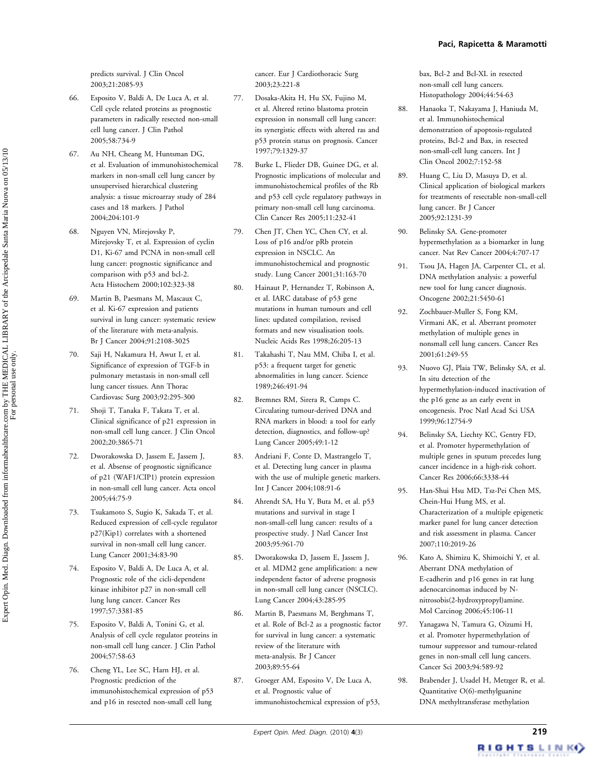predicts survival. J Clin Oncol 2003;21:2085-93

- 66. Esposito V, Baldi A, De Luca A, et al. Cell cycle related proteins as prognostic parameters in radically resected non-small cell lung cancer. J Clin Pathol 2005;58:734-9
- 67. Au NH, Cheang M, Huntsman DG, et al. Evaluation of immunohistochemical markers in non-small cell lung cancer by unsupervised hierarchical clustering analysis: a tissue microarray study of 284 cases and 18 markers. J Pathol 2004;204:101-9
- 68. Nguyen VN, Mirejovsky P, Mirejovsky T, et al. Expression of cyclin D1, Ki-67 amd PCNA in non-small cell lung cancer: prognostic significance and comparison with p53 and bcl-2. Acta Histochem 2000;102:323-38
- 69. Martin B, Paesmans M, Mascaux C, et al. Ki-67 expression and patients survival in lung cancer: systematic review of the literature with meta-analysis. Br J Cancer 2004;91:2108-3025
- 70. Saji H, Nakamura H, Awut I, et al. Significance of expression of TGF-b in pulmonary metastasis in non-small cell lung cancer tissues. Ann Thorac Cardiovasc Surg 2003;92:295-300
- 71. Shoji T, Tanaka F, Takata T, et al. Clinical significance of p21 expression in non-small cell lung cancer. J Clin Oncol 2002;20:3865-71
- 72. Dworakowska D, Jassem E, Jassem J, et al. Absense of prognostic significance of p21 (WAF1/CIP1) protein expression in non-small cell lung cancer. Acta oncol 2005;44:75-9
- 73. Tsukamoto S, Sugio K, Sakada T, et al. Reduced expression of cell-cycle regulator p27(Kip1) correlates with a shortened survival in non-small cell lung cancer. Lung Cancer 2001;34:83-90
- 74. Esposito V, Baldi A, De Luca A, et al. Prognostic role of the cicli-dependent kinase inhibitor p27 in non-small cell lung lung cancer. Cancer Res 1997;57:3381-85
- 75. Esposito V, Baldi A, Tonini G, et al. Analysis of cell cycle regulator proteins in non-small cell lung cancer. J Clin Pathol 2004;57:58-63
- 76. Cheng YL, Lee SC, Harn HJ, et al. Prognostic prediction of the immunohistochemical expression of p53 and p16 in resected non-small cell lung

cancer. Eur J Cardiothoracic Surg 2003;23:221-8

- 77. Dosaka-Akita H, Hu SX, Fujino M, et al. Altered retino blastoma protein expression in nonsmall cell lung cancer: its synergistic effects with altered ras and p53 protein status on prognosis. Cancer 1997;79:1329-37
- 78. Burke L, Flieder DB, Guinee DG, et al. Prognostic implications of molecular and immunohistochemical profiles of the Rb and p53 cell cycle regulatory pathways in primary non-small cell lung carcinoma. Clin Cancer Res 2005;11:232-41
- 79. Chen JT, Chen YC, Chen CY, et al. Loss of p16 and/or pRb protein expression in NSCLC. An immunohistochemical and prognostic study. Lung Cancer 2001;31:163-70
- 80. Hainaut P, Hernandez T, Robinson A, et al. IARC database of p53 gene mutations in human tumours and cell lines: updated compilation, revised formats and new visualisation tools. Nucleic Acids Res 1998;26:205-13
- 81. Takahashi T, Nau MM, Chiba I, et al. p53: a frequent target for genetic abnormalities in lung cancer. Science 1989;246:491-94
- 82. Bremnes RM, Sirera R, Camps C. Circulating tumour-derived DNA and RNA markers in blood: a tool for early detection, diagnostics, and follow-up? Lung Cancer 2005;49:1-12
- 83. Andriani F, Conte D, Mastrangelo T, et al. Detecting lung cancer in plasma with the use of multiple genetic markers. Int J Cancer 2004;108:91-6
- 84. Ahrendt SA, Hu Y, Buta M, et al. p53 mutations and survival in stage I non-small-cell lung cancer: results of a prospective study. J Natl Cancer Inst 2003;95:961-70
- 85. Dworakowska D, Jassem E, Jassem J, et al. MDM2 gene amplification: a new independent factor of adverse prognosis in non-small cell lung cancer (NSCLC). Lung Cancer 2004;43:285-95
- 86. Martin B, Paesmans M, Berghmans T, et al. Role of Bcl-2 as a prognostic factor for survival in lung cancer: a systematic review of the literature with meta-analysis. Br J Cancer 2003;89:55-64
- 87. Groeger AM, Esposito V, De Luca A, et al. Prognostic value of immunohistochemical expression of p53,

bax, Bcl-2 and Bcl-XL in resected non-small cell lung cancers. Histopathology 2004;44:54-63

- 88. Hanaoka T, Nakayama J, Haniuda M, et al. Immunohistochemical demonstration of apoptosis-regulated proteins, Bcl-2 and Bax, in resected non-small-cell lung cancers. Int J Clin Oncol 2002;7:152-58
- 89. Huang C, Liu D, Masuya D, et al. Clinical application of biological markers for treatments of resectable non-small-cell lung cancer. Br J Cancer 2005;92:1231-39
- 90. Belinsky SA. Gene-promoter hypermethylation as a biomarker in lung cancer. Nat Rev Cancer 2004;4:707-17
- 91. Tsou JA, Hagen JA, Carpenter CL, et al. DNA methylation analysis: a powerful new tool for lung cancer diagnosis. Oncogene 2002;21:5450-61
- 92. Zochbauer-Muller S, Fong KM, Virmani AK, et al. Aberrant promoter methylation of multiple genes in nonsmall cell lung cancers. Cancer Res 2001;61:249-55
- 93. Nuovo GJ, Plaia TW, Belinsky SA, et al. In situ detection of the hypermethylation-induced inactivation of the p16 gene as an early event in oncogenesis. Proc Natl Acad Sci USA 1999;96:12754-9
- 94. Belinsky SA, Liechty KC, Gentry FD, et al. Promoter hypermethylation of multiple genes in sputum precedes lung cancer incidence in a high-risk cohort. Cancer Res 2006;66:3338-44
- 95. Han-Shui Hsu MD, Tsz-Pei Chen MS, Chein-Hui Hung MS, et al. Characterization of a multiple epigenetic marker panel for lung cancer detection and risk assessment in plasma. Cancer 2007;110:2019-26
- 96. Kato A, Shimizu K, Shimoichi Y, et al. Aberrant DNA methylation of E-cadherin and p16 genes in rat lung adenocarcinomas induced by Nnitrosobis(2-hydroxypropyl)amine. Mol Carcinog 2006;45:106-11
- 97. Yanagawa N, Tamura G, Oizumi H, et al. Promoter hypermethylation of tumour suppressor and tumour-related genes in non-small cell lung cancers. Cancer Sci 2003;94:589-92
- 98. Brabender J, Usadel H, Metzger R, et al. Quantitative O(6)-methylguanine DNA methyltransferase methylation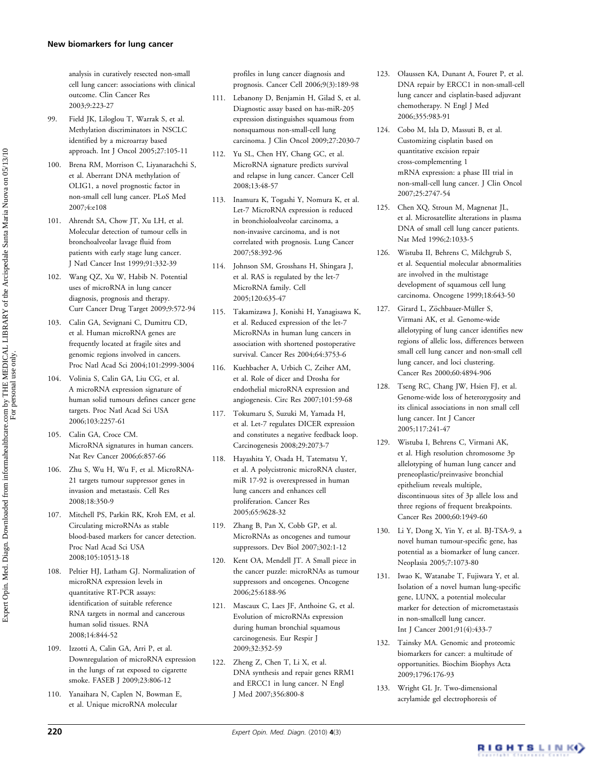analysis in curatively resected non-small cell lung cancer: associations with clinical outcome. Clin Cancer Res 2003;9:223-27

- 99. Field JK, Liloglou T, Warrak S, et al. Methylation discriminators in NSCLC identified by a microarray based approach. Int J Oncol 2005;27:105-11
- 100. Brena RM, Morrison C, Liyanarachchi S, et al. Aberrant DNA methylation of OLIG1, a novel prognostic factor in non-small cell lung cancer. PLoS Med 2007;4:e108
- 101. Ahrendt SA, Chow JT, Xu LH, et al. Molecular detection of tumour cells in bronchoalveolar lavage fluid from patients with early stage lung cancer. J Natl Cancer Inst 1999;91:332-39
- 102. Wang QZ, Xu W, Habib N. Potential uses of microRNA in lung cancer diagnosis, prognosis and therapy. Curr Cancer Drug Target 2009;9:572-94
- 103. Calin GA, Sevignani C, Dumitru CD, et al. Human microRNA genes are frequently located at fragile sites and genomic regions involved in cancers. Proc Natl Acad Sci 2004;101:2999-3004
- 104. Volinia S, Calin GA, Liu CG, et al. A microRNA expression signature of human solid tumours defines cancer gene targets. Proc Natl Acad Sci USA 2006;103:2257-61
- 105. Calin GA, Croce CM. MicroRNA signatures in human cancers. Nat Rev Cancer 2006;6:857-66
- 106. Zhu S, Wu H, Wu F, et al. MicroRNA-21 targets tumour suppressor genes in invasion and metastasis. Cell Res 2008;18:350-9
- 107. Mitchell PS, Parkin RK, Kroh EM, et al. Circulating microRNAs as stable blood-based markers for cancer detection. Proc Natl Acad Sci USA 2008;105:10513-18
- 108. Peltier HJ, Latham GJ. Normalization of microRNA expression levels in quantitative RT-PCR assays: identification of suitable reference RNA targets in normal and cancerous human solid tissues. RNA 2008;14:844-52
- 109. Izzotti A, Calin GA, Arri P, et al. Downregulation of microRNA expression in the lungs of rat exposed to cigarette smoke. FASEB J 2009;23:806-12
- 110. Yanaihara N, Caplen N, Bowman E, et al. Unique microRNA molecular

profiles in lung cancer diagnosis and prognosis. Cancer Cell 2006;9(3):189-98

- 111. Lebanony D, Benjamin H, Gilad S, et al. Diagnostic assay based on has-miR-205 expression distinguishes squamous from nonsquamous non-small-cell lung carcinoma. J Clin Oncol 2009;27:2030-7
- 112. Yu SL, Chen HY, Chang GC, et al. MicroRNA signature predicts survival and relapse in lung cancer. Cancer Cell 2008;13:48-57
- 113. Inamura K, Togashi Y, Nomura K, et al. Let-7 MicroRNA expression is reduced in bronchioloalveolar carcinoma, a non-invasive carcinoma, and is not correlated with prognosis. Lung Cancer 2007;58:392-96
- 114. Johnson SM, Grosshans H, Shingara J, et al. RAS is regulated by the let-7 MicroRNA family. Cell 2005;120:635-47
- 115. Takamizawa J, Konishi H, Yanagisawa K, et al. Reduced expression of the let-7 MicroRNAs in human lung cancers in association with shortened postoperative survival. Cancer Res 2004;64:3753-6
- 116. Kuehbacher A, Urbich C, Zeiher AM, et al. Role of dicer and Drosha for endothelial microRNA expression and angiogenesis. Circ Res 2007;101:59-68
- 117. Tokumaru S, Suzuki M, Yamada H, et al. Let-7 regulates DICER expression and constitutes a negative feedback loop. Carcinogenesis 2008;29:2073-7
- 118. Hayashita Y, Osada H, Tatematsu Y, et al. A polycistronic microRNA cluster, miR 17-92 is overexpressed in human lung cancers and enhances cell proliferation. Cancer Res 2005;65:9628-32
- 119. Zhang B, Pan X, Cobb GP, et al. MicroRNAs as oncogenes and tumour suppressors. Dev Biol 2007;302:1-12
- 120. Kent OA, Mendell JT. A Small piece in the cancer puzzle: microRNAs as tumour suppressors and oncogenes. Oncogene 2006;25:6188-96
- 121. Mascaux C, Laes JF, Anthoine G, et al. Evolution of microRNAs expression during human bronchial squamous carcinogenesis. Eur Respir J 2009;32:352-59
- 122. Zheng Z, Chen T, Li X, et al. DNA synthesis and repair genes RRM1 and ERCC1 in lung cancer. N Engl J Med 2007;356:800-8
- 123. Olaussen KA, Dunant A, Fouret P, et al. DNA repair by ERCC1 in non-small-cell lung cancer and cisplatin-based adjuvant chemotherapy. N Engl J Med 2006;355:983-91
- 124. Cobo M, Isla D, Massuti B, et al. Customizing cisplatin based on quantitative excision repair cross-complementing 1 mRNA expression: a phase III trial in non-small-cell lung cancer. J Clin Oncol 2007;25:2747-54
- 125. Chen XQ, Stroun M, Magnenat JL, et al. Microsatellite alterations in plasma DNA of small cell lung cancer patients. Nat Med 1996;2:1033-5
- 126. Wistuba II, Behrens C, Milchgrub S, et al. Sequential molecular abnormalities are involved in the multistage development of squamous cell lung carcinoma. Oncogene 1999;18:643-50
- 127. Girard L, Zöchbauer-Müller S, Virmani AK, et al. Genome-wide allelotyping of lung cancer identifies new regions of allelic loss, differences between small cell lung cancer and non-small cell lung cancer, and loci clustering. Cancer Res 2000;60:4894-906
- 128. Tseng RC, Chang JW, Hsien FJ, et al. Genome-wide loss of heterozygosity and its clinical associations in non small cell lung cancer. Int J Cancer 2005;117:241-47
- 129. Wistuba I, Behrens C, Virmani AK, et al. High resolution chromosome 3p allelotyping of human lung cancer and preneoplastic/preinvasive bronchial epithelium reveals multiple, discontinuous sites of 3p allele loss and three regions of frequent breakpoints. Cancer Res 2000;60:1949-60
- 130. Li Y, Dong X, Yin Y, et al. BJ-TSA-9, a novel human tumour-specific gene, has potential as a biomarker of lung cancer. Neoplasia 2005;7:1073-80
- 131. Iwao K, Watanabe T, Fujiwara Y, et al. Isolation of a novel human lung-specific gene, LUNX, a potential molecular marker for detection of micrometastasis in non-smallcell lung cancer. Int J Cancer 2001;91(4):433-7
- 132. Tainsky MA. Genomic and proteomic biomarkers for cancer: a multitude of opportunities. Biochim Biophys Acta 2009;1796:176-93
- 133. Wright GL Jr. Two-dimensional acrylamide gel electrophoresis of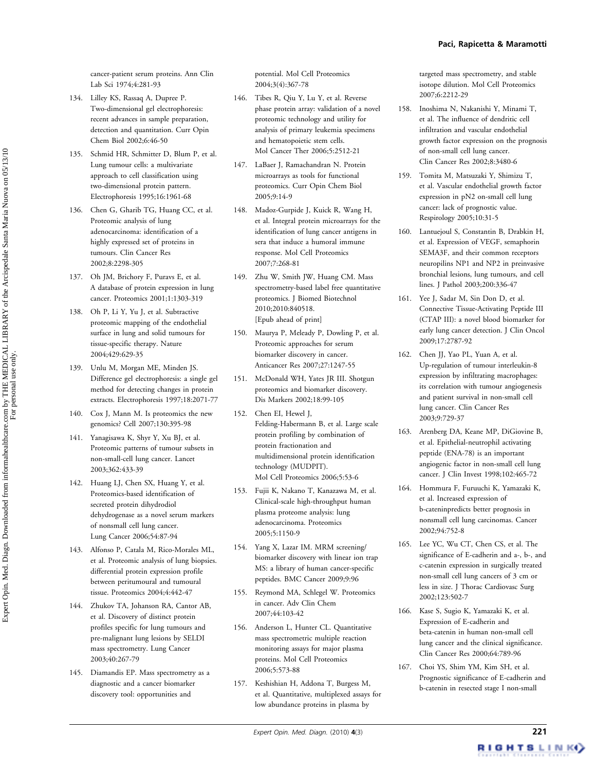cancer-patient serum proteins. Ann Clin Lab Sci 1974;4:281-93

- 134. Lilley KS, Rassaq A, Dupree P. Two-dimensional gel electrophoresis: recent advances in sample preparation, detection and quantitation. Curr Opin Chem Biol 2002;6:46-50
- 135. Schmid HR, Schmitter D, Blum P, et al. Lung tumour cells: a multivariate approach to cell classification using two-dimensional protein pattern. Electrophoresis 1995;16:1961-68
- 136. Chen G, Gharib TG, Huang CC, et al. Proteomic analysis of lung adenocarcinoma: identification of a highly expressed set of proteins in tumours. Clin Cancer Res 2002;8:2298-305
- 137. Oh JM, Brichory F, Puravs E, et al. A database of protein expression in lung cancer. Proteomics 2001;1:1303-319
- 138. Oh P, Li Y, Yu J, et al. Subtractive proteomic mapping of the endothelial surface in lung and solid tumours for tissue-specific therapy. Nature 2004;429:629-35
- 139. Unlu M, Morgan ME, Minden JS. Difference gel electrophoresis: a single gel method for detecting changes in protein extracts. Electrophoresis 1997;18:2071-77
- 140. Cox J, Mann M. Is proteomics the new genomics? Cell 2007;130:395-98
- 141. Yanagisawa K, Shyr Y, Xu BJ, et al. Proteomic patterns of tumour subsets in non-small-cell lung cancer. Lancet 2003;362:433-39
- 142. Huang LJ, Chen SX, Huang Y, et al. Proteomics-based identification of secreted protein dihydrodiol dehydrogenase as a novel serum markers of nonsmall cell lung cancer. Lung Cancer 2006;54:87-94
- 143. Alfonso P, Catala M, Rico-Morales ML, et al. Proteomic analysis of lung biopsies. differential protein expression profile between peritumoural and tumoural tissue. Proteomics 2004;4:442-47
- 144. Zhukov TA, Johanson RA, Cantor AB, et al. Discovery of distinct protein profiles specific for lung tumours and pre-malignant lung lesions by SELDI mass spectrometry. Lung Cancer 2003;40:267-79
- 145. Diamandis EP. Mass spectrometry as a diagnostic and a cancer biomarker discovery tool: opportunities and

potential. Mol Cell Proteomics 2004;3(4):367-78

- 146. Tibes R, Qiu Y, Lu Y, et al. Reverse phase protein array: validation of a novel proteomic technology and utility for analysis of primary leukemia specimens and hematopoietic stem cells. Mol Cancer Ther 2006;5:2512-21
- 147. LaBaer J, Ramachandran N. Protein microarrays as tools for functional proteomics. Curr Opin Chem Biol 2005;9:14-9
- 148. Madoz-Gurpide J, Kuick R, Wang H, et al. Integral protein microarrays for the identification of lung cancer antigens in sera that induce a humoral immune response. Mol Cell Proteomics 2007;7:268-81
- 149. Zhu W, Smith JW, Huang CM. Mass spectrometry-based label free quantitative proteomics. J Biomed Biotechnol 2010;2010:840518. [Epub ahead of print]
- 150. Maurya P, Meleady P, Dowling P, et al. Proteomic approaches for serum biomarker discovery in cancer. Anticancer Res 2007;27:1247-55
- 151. McDonald WH, Yates JR III. Shotgun proteomics and biomarker discovery. Dis Markers 2002;18:99-105
- 152. Chen EI, Hewel J, Felding-Habermann B, et al. Large scale protein profiling by combination of protein fractionation and multidimensional protein identification technology (MUDPIT). Mol Cell Proteomics 2006;5:53-6
- 153. Fujii K, Nakano T, Kanazawa M, et al. Clinical-scale high-throughput human plasma proteome analysis: lung adenocarcinoma. Proteomics 2005;5:1150-9
- 154. Yang X, Lazar IM. MRM screening/ biomarker discovery with linear ion trap MS: a library of human cancer-specific peptides. BMC Cancer 2009;9:96
- 155. Reymond MA, Schlegel W. Proteomics in cancer. Adv Clin Chem 2007;44:103-42
- 156. Anderson L, Hunter CL. Quantitative mass spectrometric multiple reaction monitoring assays for major plasma proteins. Mol Cell Proteomics 2006;5:573-88
- 157. Keshishian H, Addona T, Burgess M, et al. Quantitative, multiplexed assays for low abundance proteins in plasma by

targeted mass spectrometry, and stable isotope dilution. Mol Cell Proteomics 2007;6:2212-29

- 158. Inoshima N, Nakanishi Y, Minami T, et al. The influence of dendritic cell infiltration and vascular endothelial growth factor expression on the prognosis of non-small cell lung cancer. Clin Cancer Res 2002;8:3480-6
- 159. Tomita M, Matsuzaki Y, Shimizu T, et al. Vascular endothelial growth factor expression in pN2 on-small cell lung cancer: lack of prognostic value. Respirology 2005;10:31-5
- 160. Lantuejoul S, Constantin B, Drabkin H, et al. Expression of VEGF, semaphorin SEMA3F, and their common receptors neuropilins NP1 and NP2 in preinvasive bronchial lesions, lung tumours, and cell lines. J Pathol 2003;200:336-47
- 161. Yee J, Sadar M, Sin Don D, et al. Connective Tissue-Activating Peptide III (CTAP III): a novel blood biomarker for early lung cancer detection. J Clin Oncol 2009;17:2787-92
- 162. Chen JJ, Yao PL, Yuan A, et al. Up-regulation of tumour interleukin-8 expression by infiltrating macrophages: its correlation with tumour angiogenesis and patient survival in non-small cell lung cancer. Clin Cancer Res 2003;9:729-37
- 163. Arenberg DA, Keane MP, DiGiovine B, et al. Epithelial-neutrophil activating peptide (ENA-78) is an important angiogenic factor in non-small cell lung cancer. J Clin Invest 1998;102:465-72
- 164. Hommura F, Furuuchi K, Yamazaki K, et al. Increased expression of b-cateninpredicts better prognosis in nonsmall cell lung carcinomas. Cancer 2002;94:752-8
- 165. Lee YC, Wu CT, Chen CS, et al. The significance of E-cadherin and a-, b-, and c-catenin expression in surgically treated non-small cell lung cancers of 3 cm or less in size. J Thorac Cardiovasc Surg 2002;123:502-7
- 166. Kase S, Sugio K, Yamazaki K, et al. Expression of E-cadherin and beta-catenin in human non-small cell lung cancer and the clinical significance. Clin Cancer Res 2000;64:789-96
- 167. Choi YS, Shim YM, Kim SH, et al. Prognostic significance of E-cadherin and b-catenin in resected stage I non-small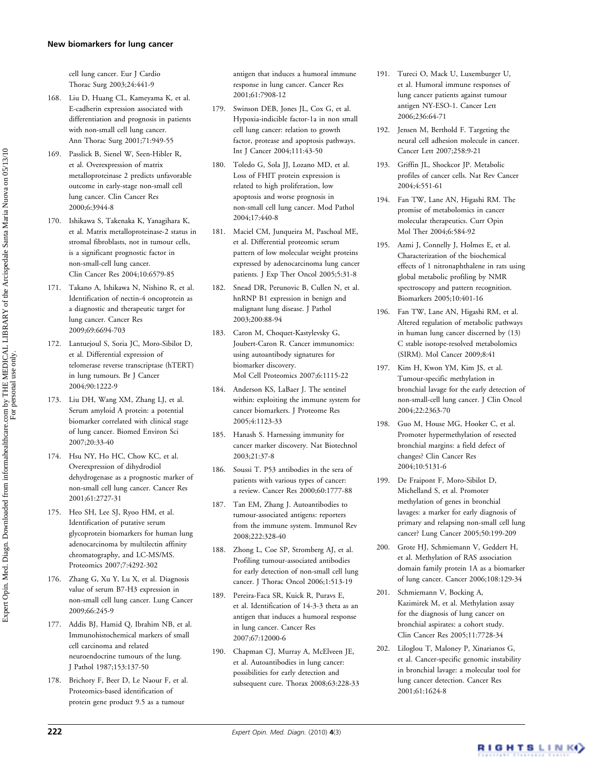cell lung cancer. Eur J Cardio Thorac Surg 2003;24:441-9

- 168. Liu D, Huang CL, Kameyama K, et al. E-cadherin expression associated with differentiation and prognosis in patients with non-small cell lung cancer. Ann Thorac Surg 2001;71:949-55
- 169. Passlick B, Sienel W, Seen-Hibler R, et al. Overexpression of matrix metalloproteinase 2 predicts unfavorable outcome in early-stage non-small cell lung cancer. Clin Cancer Res 2000;6:3944-8
- 170. Ishikawa S, Takenaka K, Yanagihara K, et al. Matrix metalloproteinase-2 status in stromal fibroblasts, not in tumour cells, is a significant prognostic factor in non-small-cell lung cancer. Clin Cancer Res 2004;10:6579-85
- 171. Takano A, Ishikawa N, Nishino R, et al. Identification of nectin-4 oncoprotein as a diagnostic and therapeutic target for lung cancer. Cancer Res 2009;69:6694-703
- 172. Lantuejoul S, Soria JC, Moro-Sibilot D, et al. Differential expression of telomerase reverse transcriptase (hTERT) in lung tumours. Br J Cancer 2004;90:1222-9
- 173. Liu DH, Wang XM, Zhang LJ, et al. Serum amyloid A protein: a potential biomarker correlated with clinical stage of lung cancer. Biomed Environ Sci 2007;20:33-40
- 174. Hsu NY, Ho HC, Chow KC, et al. Overexpression of dihydrodiol dehydrogenase as a prognostic marker of non-small cell lung cancer. Cancer Res 2001;61:2727-31
- 175. Heo SH, Lee SJ, Ryoo HM, et al. Identification of putative serum glycoprotein biomarkers for human lung adenocarcinoma by multilectin affinity chromatography, and LC-MS/MS. Proteomics 2007;7:4292-302
- 176. Zhang G, Xu Y, Lu X, et al. Diagnosis value of serum B7-H3 expression in non-small cell lung cancer. Lung Cancer 2009;66:245-9
- 177. Addis BJ, Hamid Q, Ibrahim NB, et al. Immunohistochemical markers of small cell carcinoma and related neuroendocrine tumours of the lung. J Pathol 1987;153:137-50
- 178. Brichory F, Beer D, Le Naour F, et al. Proteomics-based identification of protein gene product 9.5 as a tumour

antigen that induces a humoral immune response in lung cancer. Cancer Res 2001;61:7908-12

- 179. Swinson DEB, Jones JL, Cox G, et al. Hypoxia-indicible factor-1a in non small cell lung cancer: relation to growth factor, protease and apoptosis pathways. Int J Cancer 2004;111:43-50
- 180. Toledo G, Sola JJ, Lozano MD, et al. Loss of FHIT protein expression is related to high proliferation, low apoptosis and worse prognosis in non-small cell lung cancer. Mod Pathol 2004;17:440-8
- 181. Maciel CM, Junqueira M, Paschoal ME, et al. Differential proteomic serum pattern of low molecular weight proteins expressed by adenocarcinoma lung cancer patients. J Exp Ther Oncol 2005;5:31-8
- 182. Snead DR, Perunovic B, Cullen N, et al. hnRNP B1 expression in benign and malignant lung disease. J Pathol 2003;200:88-94
- 183. Caron M, Choquet-Kastylevsky G, Joubert-Caron R. Cancer immunomics: using autoantibody signatures for biomarker discovery. Mol Cell Proteomics 2007;6:1115-22
- 184. Anderson KS, LaBaer J. The sentinel within: exploiting the immune system for cancer biomarkers. J Proteome Res 2005;4:1123-33
- 185. Hanash S. Harnessing immunity for cancer marker discovery. Nat Biotechnol 2003;21:37-8
- 186. Soussi T. P53 antibodies in the sera of patients with various types of cancer: a review. Cancer Res 2000;60:1777-88
- 187. Tan EM, Zhang J. Autoantibodies to tumour-associated antigens: reporters from the immune system. Immunol Rev 2008;222:328-40
- 188. Zhong L, Coe SP, Stromberg AJ, et al. Profiling tumour-associated antibodies for early detection of non-small cell lung cancer. J Thorac Oncol 2006;1:513-19
- 189. Pereira-Faca SR, Kuick R, Puravs E, et al. Identification of 14-3-3 theta as an antigen that induces a humoral response in lung cancer. Cancer Res 2007;67:12000-6
- 190. Chapman CJ, Murray A, McElveen JE, et al. Autoantibodies in lung cancer: possibilities for early detection and subsequent cure. Thorax 2008;63:228-33
- 191. Tureci O, Mack U, Luxemburger U, et al. Humoral immune responses of lung cancer patients against tumour antigen NY-ESO-1. Cancer Lett 2006;236:64-71
- 192. Jensen M, Berthold F. Targeting the neural cell adhesion molecule in cancer. Cancer Lett 2007;258:9-21
- 193. Griffin JL, Shockcor JP. Metabolic profiles of cancer cells. Nat Rev Cancer 2004;4:551-61
- 194. Fan TW, Lane AN, Higashi RM. The promise of metabolomics in cancer molecular therapeutics. Curr Opin Mol Ther 2004;6:584-92
- 195. Azmi J, Connelly J, Holmes E, et al. Characterization of the biochemical effects of 1 nitronaphthalene in rats using global metabolic profiling by NMR spectroscopy and pattern recognition. Biomarkers 2005;10:401-16
- 196. Fan TW, Lane AN, Higashi RM, et al. Altered regulation of metabolic pathways in human lung cancer discerned by (13) C stable isotope-resolved metabolomics (SIRM). Mol Cancer 2009;8:41
- 197. Kim H, Kwon YM, Kim JS, et al. Tumour-specific methylation in bronchial lavage for the early detection of non-small-cell lung cancer. J Clin Oncol 2004;22:2363-70
- 198. Guo M, House MG, Hooker C, et al. Promoter hypermethylation of resected bronchial margins: a field defect of changes? Clin Cancer Res 2004;10:5131-6
- 199. De Fraipont F, Moro-Sibilot D, Michelland S, et al. Promoter methylation of genes in bronchial lavages: a marker for early diagnosis of primary and relapsing non-small cell lung cancer? Lung Cancer 2005;50:199-209
- 200. Grote HJ, Schmiemann V, Geddert H, et al. Methylation of RAS association domain family protein 1A as a biomarker of lung cancer. Cancer 2006;108:129-34
- 201. Schmiemann V, Bocking A, Kazimirek M, et al. Methylation assay for the diagnosis of lung cancer on bronchial aspirates: a cohort study. Clin Cancer Res 2005;11:7728-34
- 202. Liloglou T, Maloney P, Xinarianos G, et al. Cancer-specific genomic instability in bronchial lavage: a molecular tool for lung cancer detection. Cancer Res 2001;61:1624-8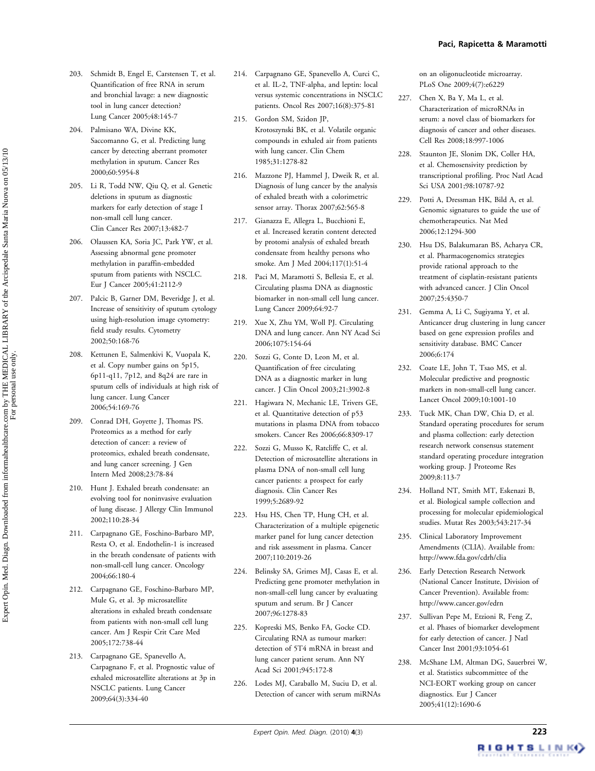- 203. Schmidt B, Engel E, Carstensen T, et al. Quantification of free RNA in serum and bronchial lavage: a new diagnostic tool in lung cancer detection? Lung Cancer 2005;48:145-7
- 204. Palmisano WA, Divine KK, Saccomanno G, et al. Predicting lung cancer by detecting aberrant promoter methylation in sputum. Cancer Res 2000;60:5954-8
- 205. Li R, Todd NW, Qiu Q, et al. Genetic deletions in sputum as diagnostic markers for early detection of stage I non-small cell lung cancer. Clin Cancer Res 2007;13:482-7
- 206. Olaussen KA, Soria JC, Park YW, et al. Assessing abnormal gene promoter methylation in paraffin-embedded sputum from patients with NSCLC. Eur J Cancer 2005;41:2112-9
- 207. Palcic B, Garner DM, Beveridge J, et al. Increase of sensitivity of sputum cytology using high-resolution image cytometry: field study results. Cytometry 2002;50:168-76
- 208. Kettunen E, Salmenkivi K, Vuopala K, et al. Copy number gains on 5p15, 6p11-q11, 7p12, and 8q24 are rare in sputum cells of individuals at high risk of lung cancer. Lung Cancer 2006;54:169-76
- 209. Conrad DH, Goyette J, Thomas PS. Proteomics as a method for early detection of cancer: a review of proteomics, exhaled breath condensate, and lung cancer screening. J Gen Intern Med 2008;23:78-84
- 210. Hunt J. Exhaled breath condensate: an evolving tool for noninvasive evaluation of lung disease. J Allergy Clin Immunol 2002;110:28-34
- 211. Carpagnano GE, Foschino-Barbaro MP, Resta O, et al. Endothelin-1 is increased in the breath condensate of patients with non-small-cell lung cancer. Oncology 2004;66:180-4
- 212. Carpagnano GE, Foschino-Barbaro MP, Mule G, et al. 3p microsatellite alterations in exhaled breath condensate from patients with non-small cell lung cancer. Am J Respir Crit Care Med 2005;172:738-44
- 213. Carpagnano GE, Spanevello A, Carpagnano F, et al. Prognostic value of exhaled microsatellite alterations at 3p in NSCLC patients. Lung Cancer 2009;64(3):334-40
- 214. Carpagnano GE, Spanevello A, Curci C, et al. IL-2, TNF-alpha, and leptin: local versus systemic concentrations in NSCLC patients. Oncol Res 2007;16(8):375-81
- 215. Gordon SM, Szidon JP, Krotoszynski BK, et al. Volatile organic compounds in exhaled air from patients with lung cancer. Clin Chem 1985;31:1278-82
- 216. Mazzone PJ, Hammel J, Dweik R, et al. Diagnosis of lung cancer by the analysis of exhaled breath with a colorimetric sensor array. Thorax 2007;62:565-8
- 217. Gianazza E, Allegra L, Bucchioni E, et al. Increased keratin content detected by protomi analysis of exhaled breath condensate from healthy persons who smoke. Am J Med 2004;117(1):51-4
- 218. Paci M, Maramotti S, Bellesia E, et al. Circulating plasma DNA as diagnostic biomarker in non-small cell lung cancer. Lung Cancer 2009;64:92-7
- 219. Xue X, Zhu YM, Woll PJ. Circulating DNA and lung cancer. Ann NY Acad Sci 2006;1075:154-64
- 220. Sozzi G, Conte D, Leon M, et al. Quantification of free circulating DNA as a diagnostic marker in lung cancer. J Clin Oncol 2003;21:3902-8
- 221. Hagiwara N, Mechanic LE, Trivers GE, et al. Quantitative detection of p53 mutations in plasma DNA from tobacco smokers. Cancer Res 2006;66:8309-17
- 222. Sozzi G, Musso K, Ratcliffe C, et al. Detection of microsatellite alterations in plasma DNA of non-small cell lung cancer patients: a prospect for early diagnosis. Clin Cancer Res 1999;5:2689-92
- 223. Hsu HS, Chen TP, Hung CH, et al. Characterization of a multiple epigenetic marker panel for lung cancer detection and risk assessment in plasma. Cancer 2007;110:2019-26
- 224. Belinsky SA, Grimes MJ, Casas E, et al. Predicting gene promoter methylation in non-small-cell lung cancer by evaluating sputum and serum. Br J Cancer 2007;96:1278-83
- 225. Kopreski MS, Benko FA, Gocke CD. Circulating RNA as tumour marker: detection of 5T4 mRNA in breast and lung cancer patient serum. Ann NY Acad Sci 2001;945:172-8
- 226. Lodes MJ, Caraballo M, Suciu D, et al. Detection of cancer with serum miRNAs

on an oligonucleotide microarray. PLoS One 2009;4(7):e6229

- 227. Chen X, Ba Y, Ma L, et al. Characterization of microRNAs in serum: a novel class of biomarkers for diagnosis of cancer and other diseases. Cell Res 2008;18:997-1006
- 228. Staunton JE, Slonim DK, Coller HA, et al. Chemosensivity prediction by transcriptional profiling. Proc Natl Acad Sci USA 2001;98:10787-92
- 229. Potti A, Dressman HK, Bild A, et al. Genomic signatures to guide the use of chemotherapeutics. Nat Med 2006;12:1294-300
- 230. Hsu DS, Balakumaran BS, Acharya CR, et al. Pharmacogenomics strategies provide rational approach to the treatment of cisplatin-resistant patients with advanced cancer. J Clin Oncol 2007;25:4350-7
- 231. Gemma A, Li C, Sugiyama Y, et al. Anticancer drug clustering in lung cancer based on gene expression profiles and sensitivity database. BMC Cancer 2006;6:174
- 232. Coate LE, John T, Tsao MS, et al. Molecular predictive and prognostic markers in non-small-cell lung cancer. Lancet Oncol 2009;10:1001-10
- 233. Tuck MK, Chan DW, Chia D, et al. Standard operating procedures for serum and plasma collection: early detection research network consensus statement standard operating procedure integration working group. J Proteome Res 2009;8:113-7
- 234. Holland NT, Smith MT, Eskenazi B, et al. Biological sample collection and processing for molecular epidemiological studies. Mutat Res 2003;543:217-34
- 235. Clinical Laboratory Improvement Amendments (CLIA). Available from: http://www.fda.gov/cdrh/clia
- 236. Early Detection Research Network (National Cancer Institute, Division of Cancer Prevention). Available from: http://www.cancer.gov/edrn
- 237. Sullivan Pepe M, Etzioni R, Feng Z, et al. Phases of biomarker development for early detection of cancer. J Natl Cancer Inst 2001;93:1054-61
- 238. McShane LM, Altman DG, Sauerbrei W, et al. Statistics subcommittee of the NCI-EORT working group on cancer diagnostics. Eur J Cancer 2005;41(12):1690-6